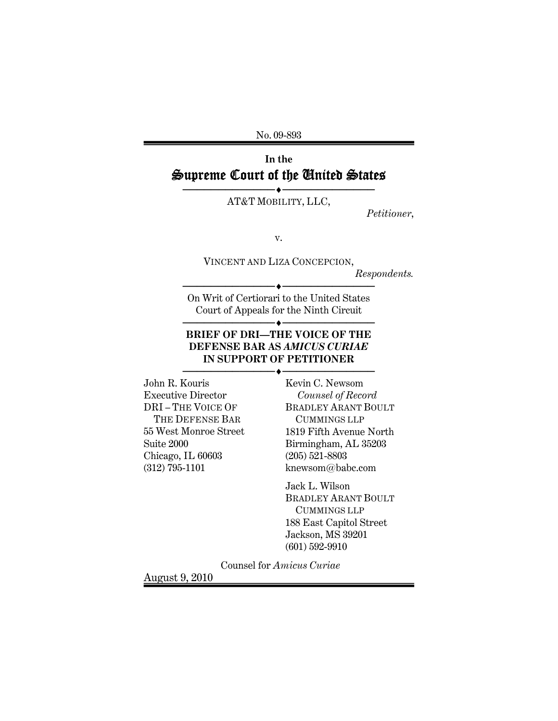No. 09-893

# **In the**  Supreme Court of the United States

───────────<del>─</del>◆───────────────── AT&T MOBILITY, LLC,

*Petitioner*,

v.

VINCENT AND LIZA CONCEPCION,

*Respondents.* 

───────────<del>─</del>◆───────────────── On Writ of Certiorari to the United States Court of Appeals for the Ninth Circuit

───────────**◆────**──────────────

#### **BRIEF OF DRI—THE VOICE OF THE DEFENSE BAR AS** *AMICUS CURIAE* **IN SUPPORT OF PETITIONER**

───────────<del>─</del>◆────────────────

John R. Kouris Executive Director DRI – THE VOICE OF THE DEFENSE BAR 55 West Monroe Street Suite 2000 Chicago, IL 60603 (312) 795-1101

Kevin C. Newsom  *Counsel of Record*  BRADLEY ARANT BOULT CUMMINGS LLP 1819 Fifth Avenue North Birmingham, AL 35203 (205) 521-8803 knewsom@babc.com

Jack L. Wilson BRADLEY ARANT BOULT CUMMINGS LLP 188 East Capitol Street Jackson, MS 39201 (601) 592-9910

Counsel for *Amicus Curiae*

August 9, 2010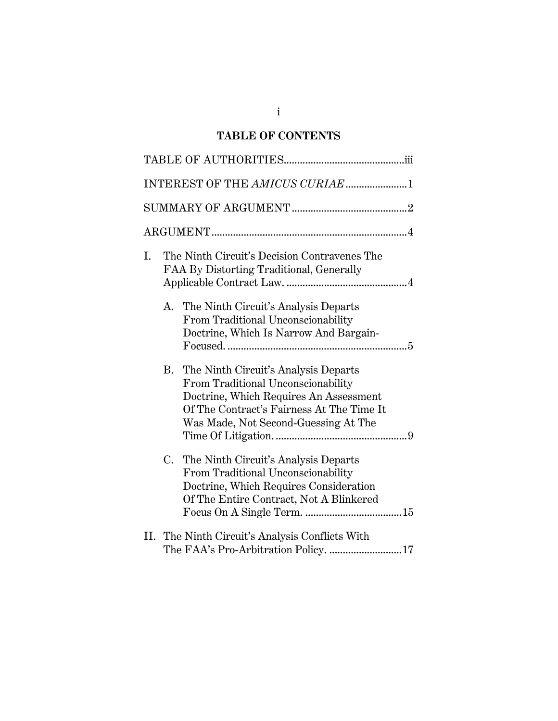# **TABLE OF CONTENTS**

| INTEREST OF THE AMICUS CURIAE 1                                                                                                                                                                                        |
|------------------------------------------------------------------------------------------------------------------------------------------------------------------------------------------------------------------------|
|                                                                                                                                                                                                                        |
|                                                                                                                                                                                                                        |
| The Ninth Circuit's Decision Contravenes The<br>L.<br>FAA By Distorting Traditional, Generally                                                                                                                         |
| The Ninth Circuit's Analysis Departs<br>А.<br>From Traditional Unconscionability<br>Doctrine, Which Is Narrow And Bargain-                                                                                             |
| <b>B.</b><br>The Ninth Circuit's Analysis Departs<br>From Traditional Unconscionability<br>Doctrine, Which Requires An Assessment<br>Of The Contract's Fairness At The Time It<br>Was Made, Not Second-Guessing At The |
| C.<br>The Ninth Circuit's Analysis Departs<br>From Traditional Unconscionability<br>Doctrine, Which Requires Consideration<br>Of The Entire Contract, Not A Blinkered                                                  |
| II. The Ninth Circuit's Analysis Conflicts With<br>The FAA's Pro-Arbitration Policy. 17                                                                                                                                |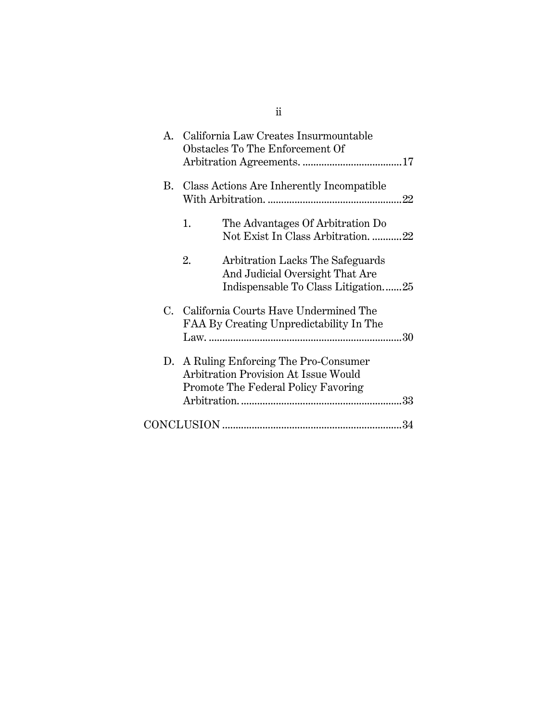| $\mathbf{A}$ |                | California Law Creates Insurmountable<br>Obstacles To The Enforcement Of                                              |     |
|--------------|----------------|-----------------------------------------------------------------------------------------------------------------------|-----|
| В.           |                | Class Actions Are Inherently Incompatible                                                                             | .22 |
|              | $\mathbf{1}$ . | The Advantages Of Arbitration Do<br>Not Exist In Class Arbitration22                                                  |     |
|              | 2.             | Arbitration Lacks The Safeguards<br>And Judicial Oversight That Are<br>Indispensable To Class Litigation25            |     |
| $C_{\cdot}$  |                | California Courts Have Undermined The<br>FAA By Creating Unpredictability In The                                      |     |
|              |                | D. A Ruling Enforcing The Pro-Consumer<br>Arbitration Provision At Issue Would<br>Promote The Federal Policy Favoring |     |
|              |                |                                                                                                                       |     |

ii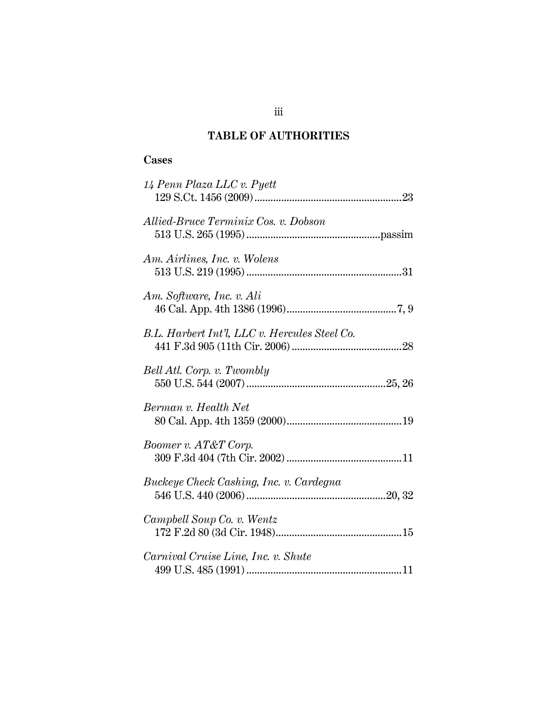## **TABLE OF AUTHORITIES**

## **Cases**

| 14 Penn Plaza LLC v. Pyett                                                           |
|--------------------------------------------------------------------------------------|
| Allied-Bruce Terminix Cos. v. Dobson                                                 |
| Am. Airlines, Inc. v. Wolens<br>$513 \, \mathrm{U.S.} \, 219 \, (1995) \, \mathrm{}$ |
| Am. Software, Inc. v. Ali                                                            |
| B.L. Harbert Int'l, LLC v. Hercules Steel Co.                                        |
| Bell Atl. Corp. v. Twombly                                                           |
| Berman v. Health Net                                                                 |
| Boomer v. AT&T Corp.                                                                 |
| Buckeye Check Cashing, Inc. v. Cardegna                                              |
| Campbell Soup Co. v. Wentz                                                           |
| Carnival Cruise Line, Inc. v. Shute                                                  |

iii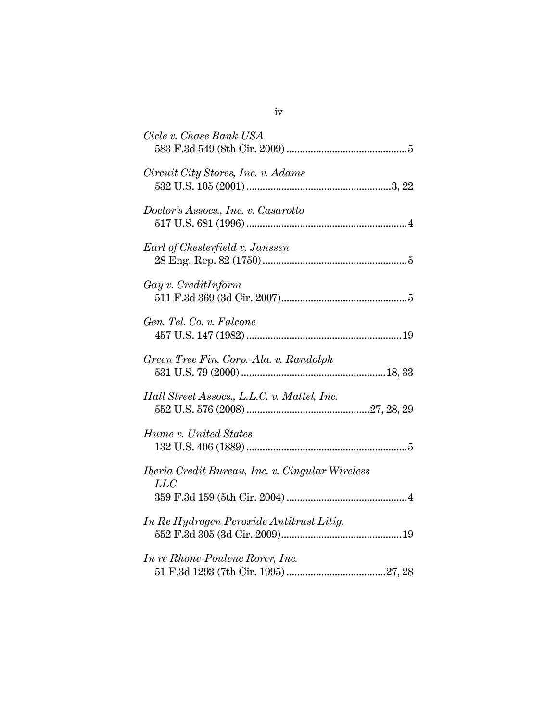| Circuit City Stores, Inc. v. Adams<br>Doctor's Assocs., Inc. v. Casarotto<br>Earl of Chesterfield v. Janssen<br>$Gay$ v. CreditInform<br>Gen. Tel. Co. v. Falcone<br>Green Tree Fin. Corp.-Ala. v. Randolph<br>Hall Street Assocs., L.L.C. v. Mattel, Inc.<br>Hume v. United States<br>Iberia Credit Bureau, Inc. v. Cingular Wireless<br>LLC<br>In Re Hydrogen Peroxide Antitrust Litig.<br>In re Rhone-Poulenc Rorer, Inc. | Cicle v. Chase Bank USA |
|------------------------------------------------------------------------------------------------------------------------------------------------------------------------------------------------------------------------------------------------------------------------------------------------------------------------------------------------------------------------------------------------------------------------------|-------------------------|
|                                                                                                                                                                                                                                                                                                                                                                                                                              |                         |
|                                                                                                                                                                                                                                                                                                                                                                                                                              |                         |
|                                                                                                                                                                                                                                                                                                                                                                                                                              |                         |
|                                                                                                                                                                                                                                                                                                                                                                                                                              |                         |
|                                                                                                                                                                                                                                                                                                                                                                                                                              |                         |
|                                                                                                                                                                                                                                                                                                                                                                                                                              |                         |
|                                                                                                                                                                                                                                                                                                                                                                                                                              |                         |
|                                                                                                                                                                                                                                                                                                                                                                                                                              |                         |
|                                                                                                                                                                                                                                                                                                                                                                                                                              |                         |
|                                                                                                                                                                                                                                                                                                                                                                                                                              |                         |
|                                                                                                                                                                                                                                                                                                                                                                                                                              |                         |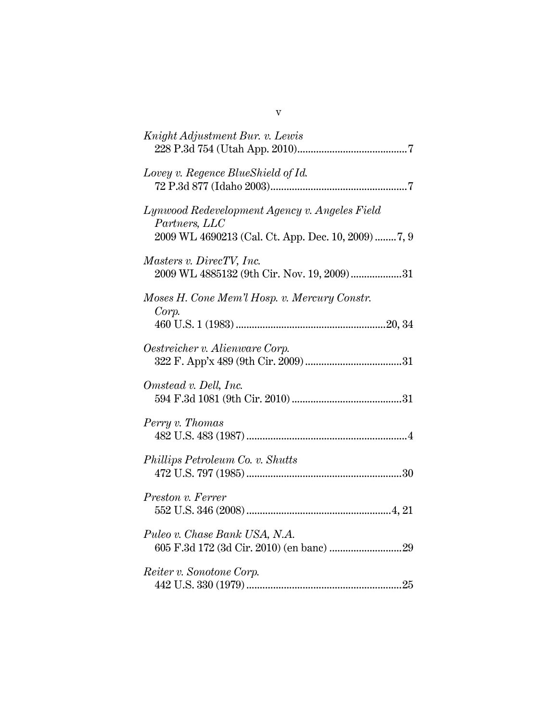| Knight Adjustment Bur. v. Lewis                                                                                      |
|----------------------------------------------------------------------------------------------------------------------|
| Lovey v. Regence BlueShield of Id.                                                                                   |
| Lynwood Redevelopment Agency v. Angeles Field<br>Partners, LLC<br>2009 WL 4690213 (Cal. Ct. App. Dec. 10, 2009) 7, 9 |
| Masters v. DirecTV, Inc.<br>2009 WL 4885132 (9th Cir. Nov. 19, 2009) 31                                              |
| Moses H. Cone Mem'l Hosp. v. Mercury Constr.<br>Corp.                                                                |
| Oestreicher v. Alienware Corp.                                                                                       |
| Omstead v. Dell, Inc.                                                                                                |
| Perry v. Thomas                                                                                                      |
| Phillips Petroleum Co. v. Shutts                                                                                     |
| Preston v. Ferrer                                                                                                    |
| Puleo v. Chase Bank USA, N.A.                                                                                        |
| Reiter v. Sonotone Corp.                                                                                             |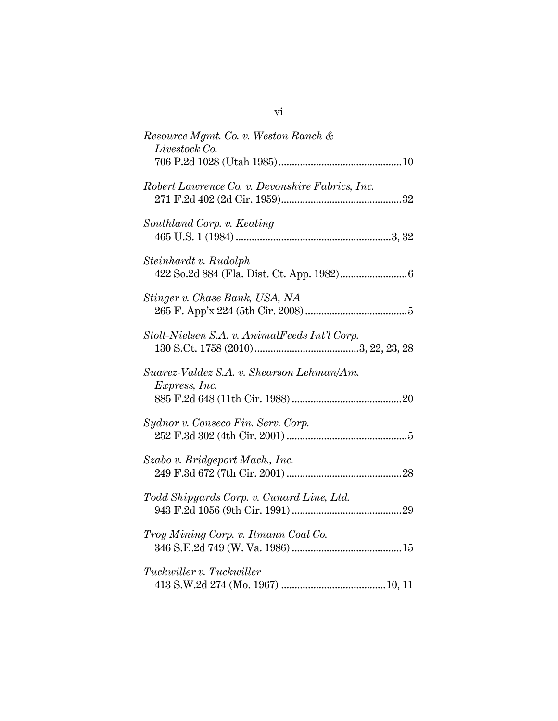| Resource Mgmt. Co. v. Weston Ranch &<br>Livestock Co.                                                                   |
|-------------------------------------------------------------------------------------------------------------------------|
| Robert Lawrence Co. v. Devonshire Fabrics, Inc.                                                                         |
| Southland Corp. v. Keating                                                                                              |
| Steinhardt v. Rudolph                                                                                                   |
| Stinger v. Chase Bank, USA, NA                                                                                          |
| Stolt-Nielsen S.A. v. AnimalFeeds Int'l Corp.                                                                           |
| $130 \text{ S.Ct. } 1758 \text{ } (2010) \dots 130 \text{ } 3, 22, 23, 28$<br>Suarez-Valdez S.A. v. Shearson Lehman/Am. |
| Express, Inc.                                                                                                           |
| Sydnor v. Conseco Fin. Serv. Corp.                                                                                      |
| Szabo v. Bridgeport Mach., Inc.                                                                                         |
| Todd Shipyards Corp. v. Cunard Line, Ltd.                                                                               |
| Troy Mining Corp. v. Itmann Coal Co.                                                                                    |
| Tuckwiller v. Tuckwiller                                                                                                |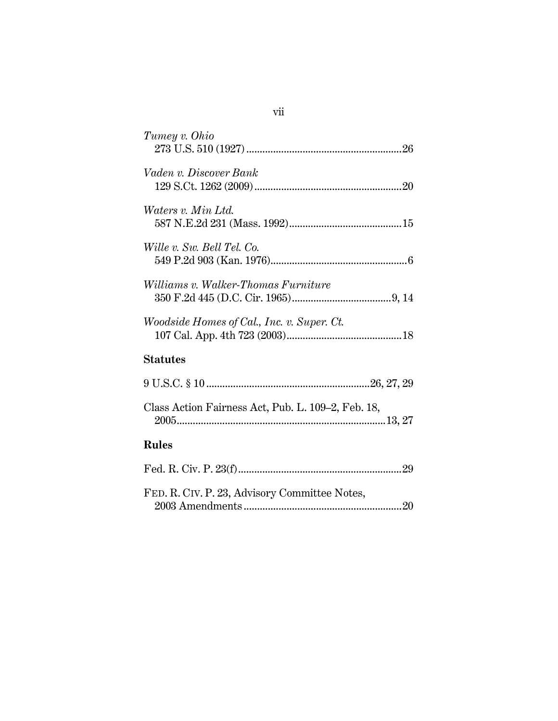| Tumey v. Ohio                                      |
|----------------------------------------------------|
| Vaden v. Discover Bank                             |
| <i>Waters v. Min Ltd.</i>                          |
| Wille v. Sw. Bell Tel. Co.                         |
| Williams v. Walker-Thomas Furniture                |
| <i>Woodside Homes of Cal., Inc. v. Super. Ct.</i>  |
| <b>Statutes</b>                                    |
|                                                    |
| Class Action Fairness Act, Pub. L. 109–2, Feb. 18, |
| <b>Rules</b>                                       |
|                                                    |
| FED. R. CIV. P. 23, Advisory Committee Notes,      |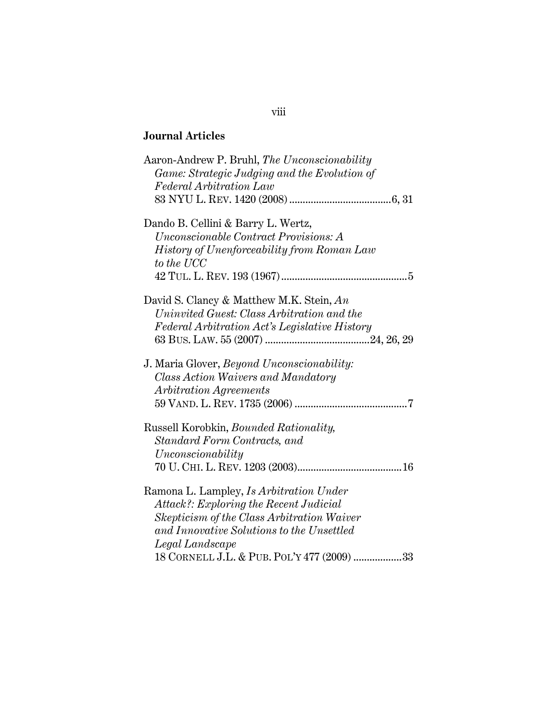# **Journal Articles**

| Aaron-Andrew P. Bruhl, The Unconscionability<br>Game: Strategic Judging and the Evolution of<br>Federal Arbitration Law                                                                                                                              |
|------------------------------------------------------------------------------------------------------------------------------------------------------------------------------------------------------------------------------------------------------|
|                                                                                                                                                                                                                                                      |
| Dando B. Cellini & Barry L. Wertz,<br>Unconscionable Contract Provisions: A<br>History of Unenforceability from Roman Law                                                                                                                            |
| to the UCC                                                                                                                                                                                                                                           |
| David S. Clancy & Matthew M.K. Stein, An<br>Uninvited Guest: Class Arbitration and the<br>Federal Arbitration Act's Legislative History                                                                                                              |
| J. Maria Glover, <i>Beyond Unconscionability</i> :<br>Class Action Waivers and Mandatory<br>Arbitration Agreements                                                                                                                                   |
| Russell Korobkin, <i>Bounded Rationality</i> ,<br>Standard Form Contracts, and<br>Unconscionality                                                                                                                                                    |
| Ramona L. Lampley, <i>Is Arbitration Under</i><br>Attack?: Exploring the Recent Judicial<br>Skepticism of the Class Arbitration Waiver<br>and Innovative Solutions to the Unsettled<br>Legal Landscape<br>18 CORNELL J.L. & PUB. POL'Y 477 (2009) 33 |
|                                                                                                                                                                                                                                                      |

### viii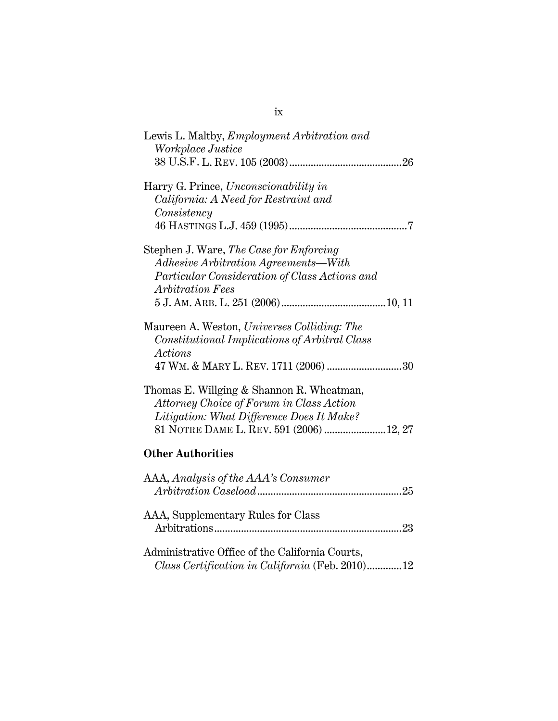| Lewis L. Maltby, <i>Employment Arbitration and</i><br>Workplace Justice                                                                                                        |
|--------------------------------------------------------------------------------------------------------------------------------------------------------------------------------|
| Harry G. Prince, <i>Unconscionability in</i><br>California: A Need for Restraint and<br>Consistency                                                                            |
| Stephen J. Ware, The Case for Enforcing<br>Adhesive Arbitration Agreements—With<br>Particular Consideration of Class Actions and<br><b>Arbitration Fees</b>                    |
| Maureen A. Weston, Universes Colliding: The<br>Constitutional Implications of Arbitral Class<br>Actions<br>47 WM. & MARY L. REV. 1711 (2006) 30                                |
| Thomas E. Willging & Shannon R. Wheatman,<br>Attorney Choice of Forum in Class Action<br>Litigation: What Difference Does It Make?<br>81 NOTRE DAME L. REV. 591 (2006)  12, 27 |
| <b>Other Authorities</b>                                                                                                                                                       |
| AAA, Analysis of the AAA's Consumer                                                                                                                                            |
| AAA, Supplementary Rules for Class                                                                                                                                             |
| Administrative Office of the California Courts,<br>Class Certification in California (Feb. 2010)12                                                                             |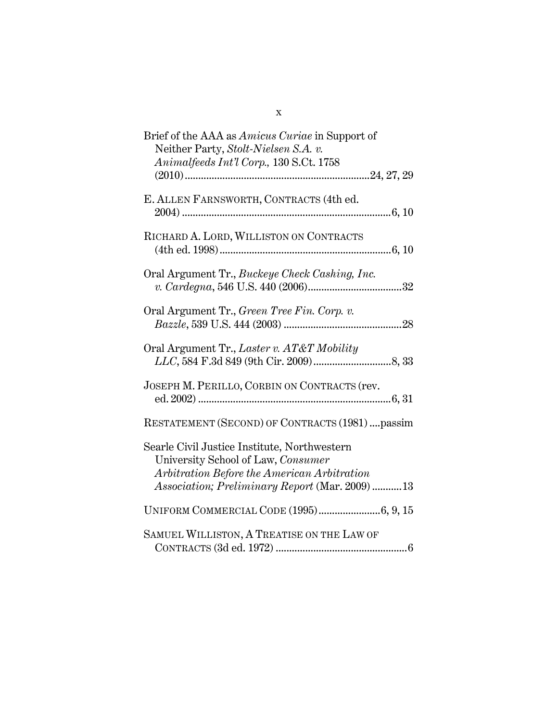| Brief of the AAA as <i>Amicus Curiae</i> in Support of<br>Neither Party, Stolt-Nielsen S.A. v.<br>Animalfeeds Int'l Corp., 130 S.Ct. 1758                                           |
|-------------------------------------------------------------------------------------------------------------------------------------------------------------------------------------|
| E. ALLEN FARNSWORTH, CONTRACTS (4th ed.                                                                                                                                             |
| RICHARD A. LORD, WILLISTON ON CONTRACTS                                                                                                                                             |
| Oral Argument Tr., Buckeye Check Cashing, Inc.                                                                                                                                      |
| Oral Argument Tr., Green Tree Fin. Corp. v.                                                                                                                                         |
| Oral Argument Tr., Laster v. AT&T Mobility                                                                                                                                          |
| JOSEPH M. PERILLO, CORBIN ON CONTRACTS (rev.                                                                                                                                        |
| RESTATEMENT (SECOND) OF CONTRACTS (1981)  passim                                                                                                                                    |
| Searle Civil Justice Institute, Northwestern<br>University School of Law, Consumer<br>Arbitration Before the American Arbitration<br>Association; Preliminary Report (Mar. 2009) 13 |
|                                                                                                                                                                                     |
| SAMUEL WILLISTON, A TREATISE ON THE LAW OF                                                                                                                                          |

x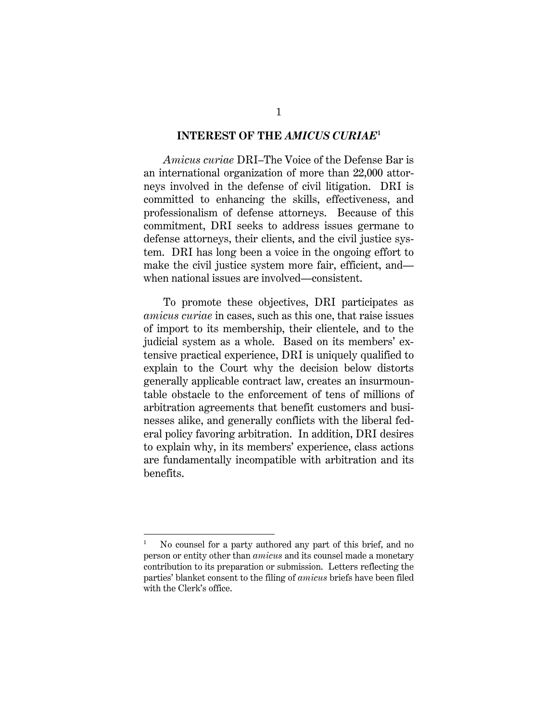#### **INTEREST OF THE** *AMICUS CURIAE***<sup>1</sup>**

*Amicus curiae* DRI–The Voice of the Defense Bar is an international organization of more than 22,000 attorneys involved in the defense of civil litigation. DRI is committed to enhancing the skills, effectiveness, and professionalism of defense attorneys. Because of this commitment, DRI seeks to address issues germane to defense attorneys, their clients, and the civil justice system. DRI has long been a voice in the ongoing effort to make the civil justice system more fair, efficient, and when national issues are involved—consistent.

To promote these objectives, DRI participates as *amicus curiae* in cases, such as this one, that raise issues of import to its membership, their clientele, and to the judicial system as a whole. Based on its members' extensive practical experience, DRI is uniquely qualified to explain to the Court why the decision below distorts generally applicable contract law, creates an insurmountable obstacle to the enforcement of tens of millions of arbitration agreements that benefit customers and businesses alike, and generally conflicts with the liberal federal policy favoring arbitration. In addition, DRI desires to explain why, in its members' experience, class actions are fundamentally incompatible with arbitration and its benefits.

l

<sup>1</sup> No counsel for a party authored any part of this brief, and no person or entity other than *amicus* and its counsel made a monetary contribution to its preparation or submission. Letters reflecting the parties' blanket consent to the filing of *amicus* briefs have been filed with the Clerk's office.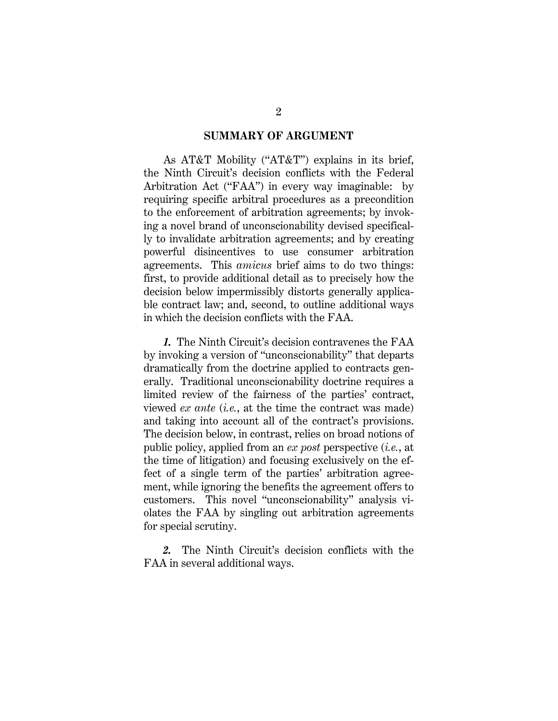#### **SUMMARY OF ARGUMENT**

As AT&T Mobility ("AT&T") explains in its brief, the Ninth Circuit's decision conflicts with the Federal Arbitration Act ("FAA") in every way imaginable: by requiring specific arbitral procedures as a precondition to the enforcement of arbitration agreements; by invoking a novel brand of unconscionability devised specifically to invalidate arbitration agreements; and by creating powerful disincentives to use consumer arbitration agreements. This *amicus* brief aims to do two things: first, to provide additional detail as to precisely how the decision below impermissibly distorts generally applicable contract law; and, second, to outline additional ways in which the decision conflicts with the FAA.

*1.* The Ninth Circuit's decision contravenes the FAA by invoking a version of "unconscionability" that departs dramatically from the doctrine applied to contracts generally. Traditional unconscionability doctrine requires a limited review of the fairness of the parties' contract, viewed *ex ante* (*i.e.*, at the time the contract was made) and taking into account all of the contract's provisions. The decision below, in contrast, relies on broad notions of public policy, applied from an *ex post* perspective (*i.e.*, at the time of litigation) and focusing exclusively on the effect of a single term of the parties' arbitration agreement, while ignoring the benefits the agreement offers to customers. This novel "unconscionability" analysis violates the FAA by singling out arbitration agreements for special scrutiny.

*2.* The Ninth Circuit's decision conflicts with the FAA in several additional ways.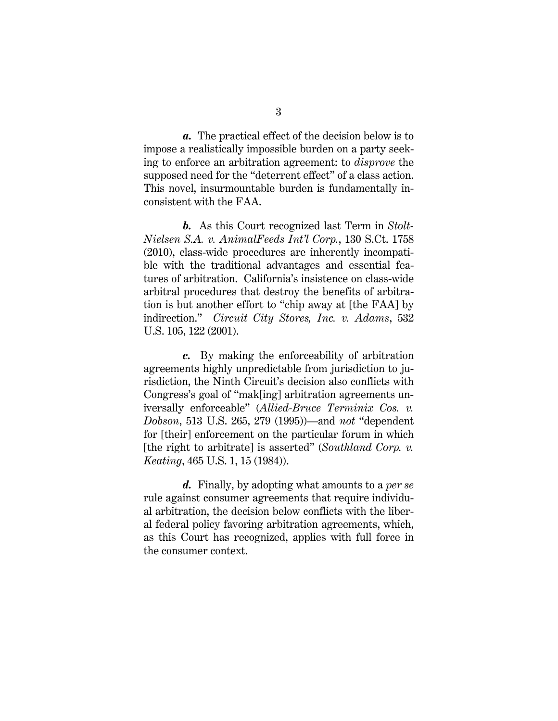*a.* The practical effect of the decision below is to impose a realistically impossible burden on a party seeking to enforce an arbitration agreement: to *disprove* the supposed need for the "deterrent effect" of a class action. This novel, insurmountable burden is fundamentally inconsistent with the FAA.

*b.* As this Court recognized last Term in *Stolt-Nielsen S.A. v. AnimalFeeds Int'l Corp.*, 130 S.Ct. 1758 (2010), class-wide procedures are inherently incompatible with the traditional advantages and essential features of arbitration. California's insistence on class-wide arbitral procedures that destroy the benefits of arbitration is but another effort to "chip away at [the FAA] by indirection." *Circuit City Stores, Inc. v. Adams*, 532 U.S. 105, 122 (2001).

*c.* By making the enforceability of arbitration agreements highly unpredictable from jurisdiction to jurisdiction, the Ninth Circuit's decision also conflicts with Congress's goal of "mak[ing] arbitration agreements universally enforceable" (*Allied-Bruce Terminix Cos. v. Dobson*, 513 U.S. 265, 279 (1995))—and *not* "dependent for [their] enforcement on the particular forum in which [the right to arbitrate] is asserted" (*Southland Corp. v. Keating*, 465 U.S. 1, 15 (1984)).

*d.* Finally, by adopting what amounts to a *per se* rule against consumer agreements that require individual arbitration, the decision below conflicts with the liberal federal policy favoring arbitration agreements, which, as this Court has recognized, applies with full force in the consumer context.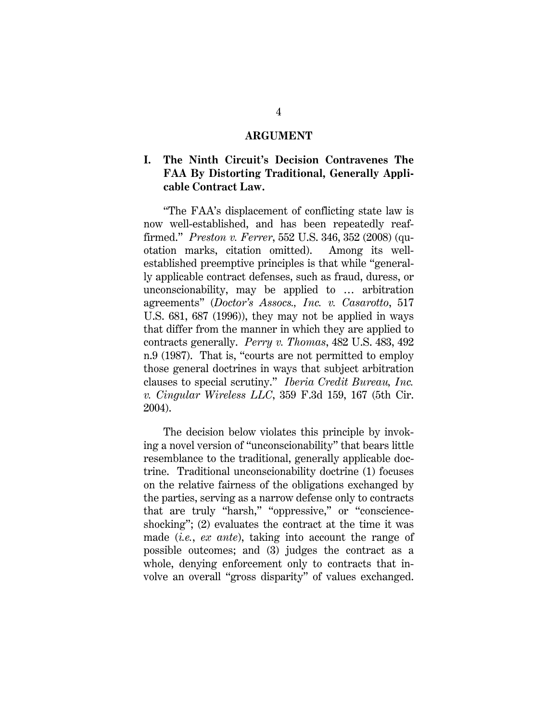#### **ARGUMENT**

### **I. The Ninth Circuit's Decision Contravenes The FAA By Distorting Traditional, Generally Applicable Contract Law.**

"The FAA's displacement of conflicting state law is now well-established, and has been repeatedly reaffirmed." *Preston v. Ferrer*, 552 U.S. 346, 352 (2008) (quotation marks, citation omitted). Among its wellestablished preemptive principles is that while "generally applicable contract defenses, such as fraud, duress, or unconscionability, may be applied to … arbitration agreements" (*Doctor's Assocs., Inc. v. Casarotto*, 517 U.S. 681, 687 (1996)), they may not be applied in ways that differ from the manner in which they are applied to contracts generally. *Perry v. Thomas*, 482 U.S. 483, 492 n.9 (1987). That is, "courts are not permitted to employ those general doctrines in ways that subject arbitration clauses to special scrutiny." *Iberia Credit Bureau, Inc. v. Cingular Wireless LLC*, 359 F.3d 159, 167 (5th Cir. 2004).

The decision below violates this principle by invoking a novel version of "unconscionability" that bears little resemblance to the traditional, generally applicable doctrine. Traditional unconscionability doctrine (1) focuses on the relative fairness of the obligations exchanged by the parties, serving as a narrow defense only to contracts that are truly "harsh," "oppressive," or "conscienceshocking"; (2) evaluates the contract at the time it was made (*i.e.*, *ex ante*), taking into account the range of possible outcomes; and (3) judges the contract as a whole, denying enforcement only to contracts that involve an overall "gross disparity" of values exchanged.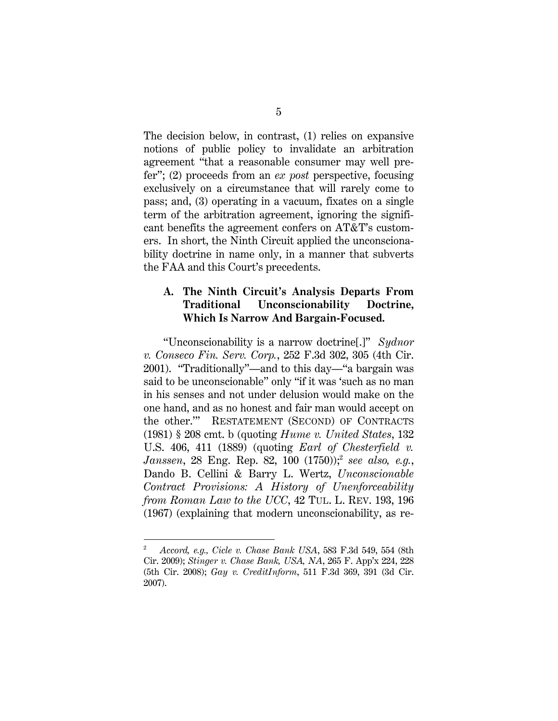The decision below, in contrast, (1) relies on expansive notions of public policy to invalidate an arbitration agreement "that a reasonable consumer may well prefer"; (2) proceeds from an *ex post* perspective, focusing exclusively on a circumstance that will rarely come to pass; and, (3) operating in a vacuum, fixates on a single term of the arbitration agreement, ignoring the significant benefits the agreement confers on AT&T's customers. In short, the Ninth Circuit applied the unconscionability doctrine in name only, in a manner that subverts the FAA and this Court's precedents.

## **A. The Ninth Circuit's Analysis Departs From Traditional Unconscionability Doctrine, Which Is Narrow And Bargain-Focused.**

"Unconscionability is a narrow doctrine[.]" *Sydnor v. Conseco Fin. Serv. Corp.*, 252 F.3d 302, 305 (4th Cir. 2001). "Traditionally"—and to this day—"a bargain was said to be unconscionable" only "if it was 'such as no man in his senses and not under delusion would make on the one hand, and as no honest and fair man would accept on the other.'" RESTATEMENT (SECOND) OF CONTRACTS (1981) § 208 cmt. b (quoting *Hume v. United States*, 132 U.S. 406, 411 (1889) (quoting *Earl of Chesterfield v. Janssen*, 28 Eng. Rep. 82, 100 (1750));<sup>2</sup> *see also, e.g.*, Dando B. Cellini & Barry L. Wertz, *Unconscionable Contract Provisions: A History of Unenforceability from Roman Law to the UCC*, 42 TUL. L. REV. 193, 196 (1967) (explaining that modern unconscionability, as re-

l

<sup>2</sup> *Accord, e.g., Cicle v. Chase Bank USA*, 583 F.3d 549, 554 (8th Cir. 2009); *Stinger v. Chase Bank, USA, NA*, 265 F. App'x 224, 228 (5th Cir. 2008); *Gay v. CreditInform*, 511 F.3d 369, 391 (3d Cir. 2007).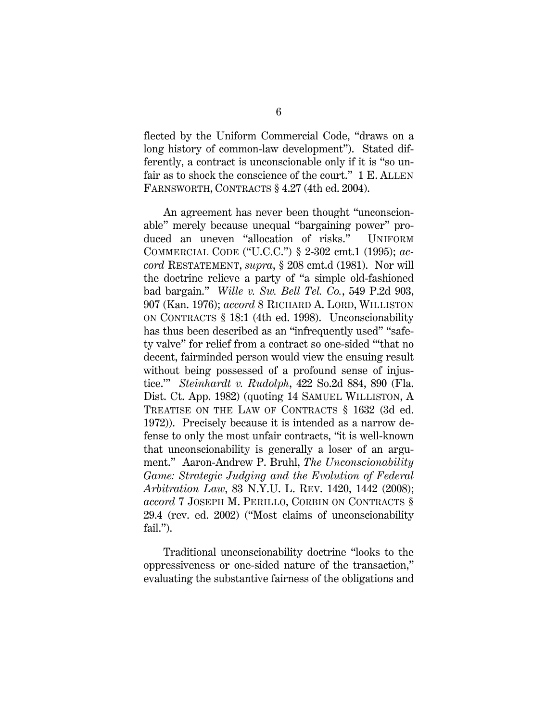flected by the Uniform Commercial Code, "draws on a long history of common-law development"). Stated differently, a contract is unconscionable only if it is "so unfair as to shock the conscience of the court." 1 E. ALLEN FARNSWORTH, CONTRACTS § 4.27 (4th ed. 2004).

An agreement has never been thought "unconscionable" merely because unequal "bargaining power" produced an uneven "allocation of risks." UNIFORM COMMERCIAL CODE ("U.C.C.") § 2-302 cmt.1 (1995); *accord* RESTATEMENT, *supra*, § 208 cmt.d (1981). Nor will the doctrine relieve a party of "a simple old-fashioned bad bargain." *Wille v. Sw. Bell Tel. Co.*, 549 P.2d 903, 907 (Kan. 1976); *accord* 8 RICHARD A. LORD, WILLISTON ON CONTRACTS § 18:1 (4th ed. 1998). Unconscionability has thus been described as an "infrequently used" "safety valve" for relief from a contract so one-sided "'that no decent, fairminded person would view the ensuing result without being possessed of a profound sense of injustice.'" *Steinhardt v. Rudolph*, 422 So.2d 884, 890 (Fla. Dist. Ct. App. 1982) (quoting 14 SAMUEL WILLISTON, A TREATISE ON THE LAW OF CONTRACTS § 1632 (3d ed. 1972)). Precisely because it is intended as a narrow defense to only the most unfair contracts, "it is well-known that unconscionability is generally a loser of an argument." Aaron-Andrew P. Bruhl, *The Unconscionability Game: Strategic Judging and the Evolution of Federal Arbitration Law*, 83 N.Y.U. L. REV. 1420, 1442 (2008); *accord* 7 JOSEPH M. PERILLO, CORBIN ON CONTRACTS § 29.4 (rev. ed. 2002) ("Most claims of unconscionability fail.").

Traditional unconscionability doctrine "looks to the oppressiveness or one-sided nature of the transaction," evaluating the substantive fairness of the obligations and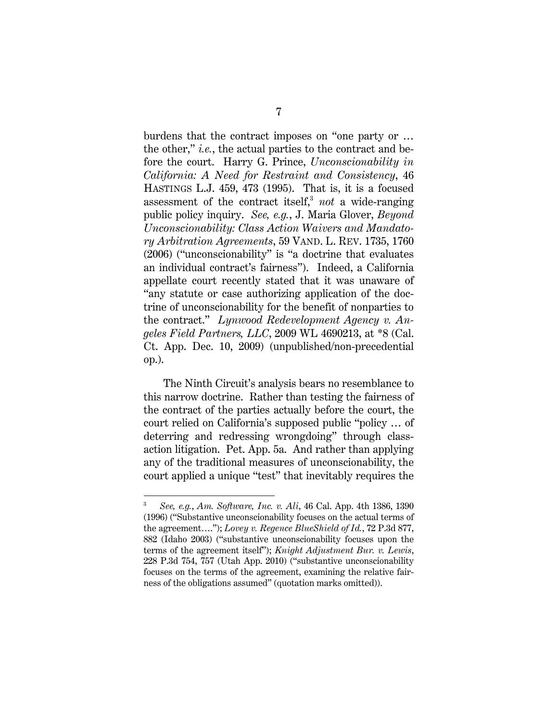burdens that the contract imposes on "one party or … the other," *i.e.*, the actual parties to the contract and before the court. Harry G. Prince, *Unconscionability in California: A Need for Restraint and Consistency*, 46 HASTINGS L.J. 459, 473 (1995). That is, it is a focused assessment of the contract itself,<sup>3</sup> *not* a wide-ranging public policy inquiry. *See, e.g.*, J. Maria Glover, *Beyond Unconscionability: Class Action Waivers and Mandatory Arbitration Agreements*, 59 VAND. L. REV. 1735, 1760 (2006) ("unconscionability" is "a doctrine that evaluates an individual contract's fairness"). Indeed, a California appellate court recently stated that it was unaware of "any statute or case authorizing application of the doctrine of unconscionability for the benefit of nonparties to the contract." *Lynwood Redevelopment Agency v. Angeles Field Partners, LLC*, 2009 WL 4690213, at \*8 (Cal. Ct. App. Dec. 10, 2009) (unpublished/non-precedential op.).

The Ninth Circuit's analysis bears no resemblance to this narrow doctrine. Rather than testing the fairness of the contract of the parties actually before the court, the court relied on California's supposed public "policy … of deterring and redressing wrongdoing" through classaction litigation. Pet. App. 5a. And rather than applying any of the traditional measures of unconscionability, the court applied a unique "test" that inevitably requires the

l

<sup>3</sup> *See, e.g.*, *Am. Software, Inc. v. Ali*, 46 Cal. App. 4th 1386, 1390 (1996) ("Substantive unconscionability focuses on the actual terms of the agreement…."); *Lovey v. Regence BlueShield of Id.*, 72 P.3d 877, 882 (Idaho 2003) ("substantive unconscionability focuses upon the terms of the agreement itself"); *Knight Adjustment Bur. v. Lewis*, 228 P.3d 754, 757 (Utah App. 2010) ("substantive unconscionability focuses on the terms of the agreement, examining the relative fairness of the obligations assumed" (quotation marks omitted)).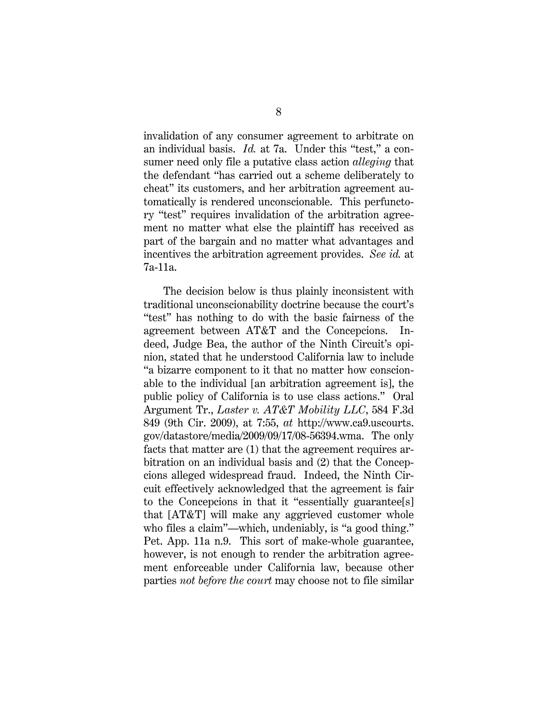invalidation of any consumer agreement to arbitrate on an individual basis. *Id.* at 7a. Under this "test," a consumer need only file a putative class action *alleging* that the defendant "has carried out a scheme deliberately to cheat" its customers, and her arbitration agreement automatically is rendered unconscionable. This perfunctory "test" requires invalidation of the arbitration agreement no matter what else the plaintiff has received as part of the bargain and no matter what advantages and incentives the arbitration agreement provides. *See id.* at 7a-11a.

The decision below is thus plainly inconsistent with traditional unconscionability doctrine because the court's "test" has nothing to do with the basic fairness of the agreement between AT&T and the Concepcions. Indeed, Judge Bea, the author of the Ninth Circuit's opinion, stated that he understood California law to include "a bizarre component to it that no matter how conscionable to the individual [an arbitration agreement is], the public policy of California is to use class actions." Oral Argument Tr., *Laster v. AT&T Mobility LLC*, 584 F.3d 849 (9th Cir. 2009), at 7:55, *at* http://www.ca9.uscourts. gov/datastore/media/2009/09/17/08-56394.wma. The only facts that matter are (1) that the agreement requires arbitration on an individual basis and (2) that the Concepcions alleged widespread fraud. Indeed, the Ninth Circuit effectively acknowledged that the agreement is fair to the Concepcions in that it "essentially guarantee[s] that [AT&T] will make any aggrieved customer whole who files a claim"—which, undeniably, is "a good thing." Pet. App. 11a n.9. This sort of make-whole guarantee, however, is not enough to render the arbitration agreement enforceable under California law, because other parties *not before the court* may choose not to file similar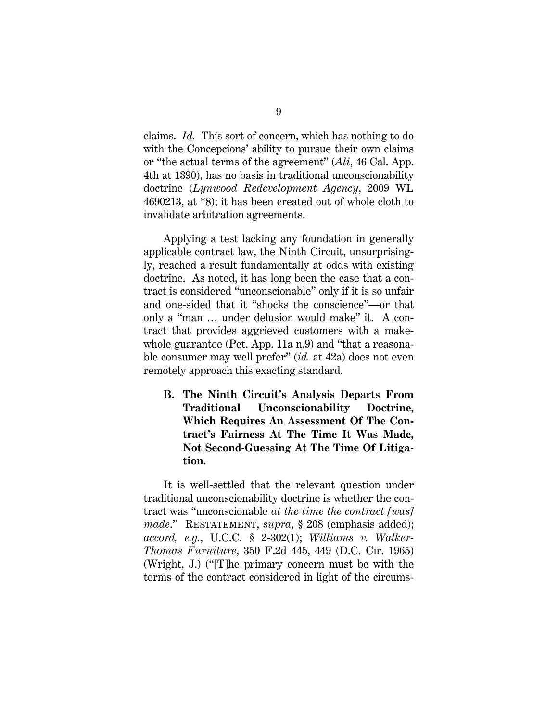claims. *Id.* This sort of concern, which has nothing to do with the Concepcions' ability to pursue their own claims or "the actual terms of the agreement" (*Ali*, 46 Cal. App. 4th at 1390), has no basis in traditional unconscionability doctrine (*Lynwood Redevelopment Agency*, 2009 WL 4690213, at \*8); it has been created out of whole cloth to invalidate arbitration agreements.

Applying a test lacking any foundation in generally applicable contract law, the Ninth Circuit, unsurprisingly, reached a result fundamentally at odds with existing doctrine. As noted, it has long been the case that a contract is considered "unconscionable" only if it is so unfair and one-sided that it "shocks the conscience"—or that only a "man … under delusion would make" it. A contract that provides aggrieved customers with a makewhole guarantee (Pet. App. 11a n.9) and "that a reasonable consumer may well prefer" (*id.* at 42a) does not even remotely approach this exacting standard.

**B. The Ninth Circuit's Analysis Departs From Traditional Unconscionability Doctrine, Which Requires An Assessment Of The Contract's Fairness At The Time It Was Made, Not Second-Guessing At The Time Of Litigation.** 

It is well-settled that the relevant question under traditional unconscionability doctrine is whether the contract was "unconscionable *at the time the contract [was] made*." RESTATEMENT, *supra*, § 208 (emphasis added); *accord, e.g.*, U.C.C. § 2-302(1); *Williams v. Walker-Thomas Furniture*, 350 F.2d 445, 449 (D.C. Cir. 1965) (Wright, J.) ("[T]he primary concern must be with the terms of the contract considered in light of the circums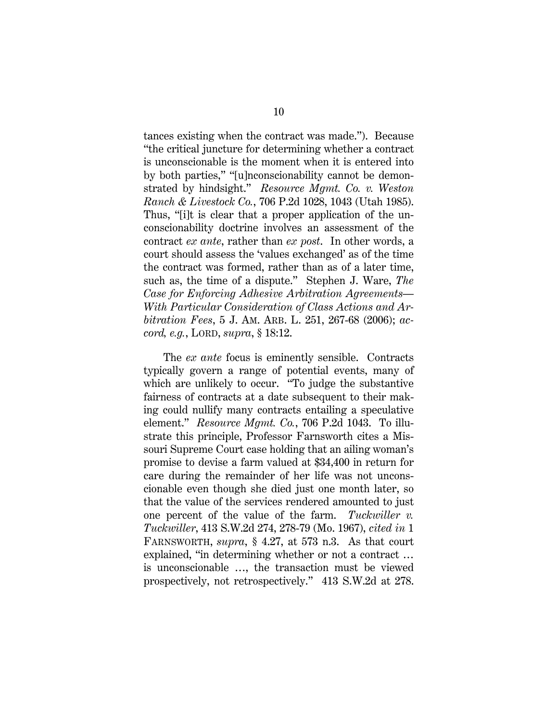tances existing when the contract was made."). Because "the critical juncture for determining whether a contract is unconscionable is the moment when it is entered into by both parties," "[u]nconscionability cannot be demonstrated by hindsight." *Resource Mgmt. Co. v. Weston Ranch & Livestock Co.*, 706 P.2d 1028, 1043 (Utah 1985). Thus, "[i]t is clear that a proper application of the unconscionability doctrine involves an assessment of the contract *ex ante*, rather than *ex post*. In other words, a court should assess the 'values exchanged' as of the time the contract was formed, rather than as of a later time, such as, the time of a dispute." Stephen J. Ware, *The Case for Enforcing Adhesive Arbitration Agreements— With Particular Consideration of Class Actions and Arbitration Fees*, 5 J. AM. ARB. L. 251, 267-68 (2006); *accord, e.g.*, LORD, *supra*, § 18:12.

The *ex ante* focus is eminently sensible. Contracts typically govern a range of potential events, many of which are unlikely to occur. "To judge the substantive fairness of contracts at a date subsequent to their making could nullify many contracts entailing a speculative element." *Resource Mgmt. Co.*, 706 P.2d 1043. To illustrate this principle, Professor Farnsworth cites a Missouri Supreme Court case holding that an ailing woman's promise to devise a farm valued at \$34,400 in return for care during the remainder of her life was not unconscionable even though she died just one month later, so that the value of the services rendered amounted to just one percent of the value of the farm. *Tuckwiller v. Tuckwiller*, 413 S.W.2d 274, 278-79 (Mo. 1967), *cited in* 1 FARNSWORTH, *supra*, § 4.27, at 573 n.3. As that court explained, "in determining whether or not a contract … is unconscionable …, the transaction must be viewed prospectively, not retrospectively." 413 S.W.2d at 278.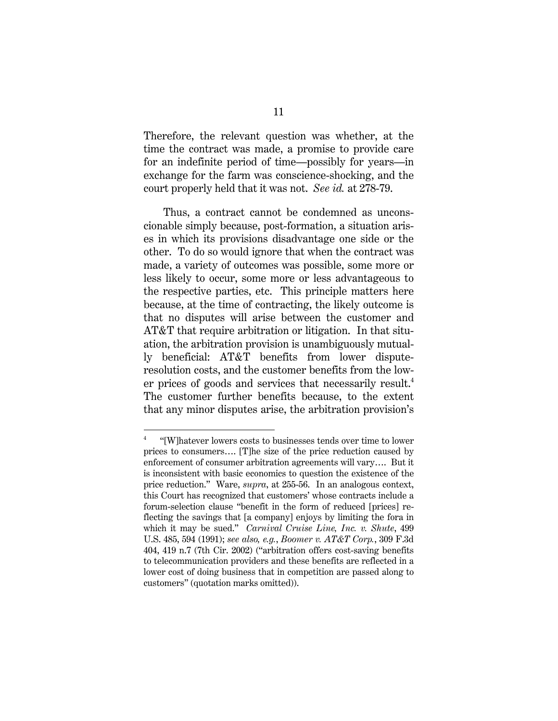Therefore, the relevant question was whether, at the time the contract was made, a promise to provide care for an indefinite period of time—possibly for years—in exchange for the farm was conscience-shocking, and the court properly held that it was not. *See id.* at 278-79.

Thus, a contract cannot be condemned as unconscionable simply because, post-formation, a situation arises in which its provisions disadvantage one side or the other. To do so would ignore that when the contract was made, a variety of outcomes was possible, some more or less likely to occur, some more or less advantageous to the respective parties, etc. This principle matters here because, at the time of contracting, the likely outcome is that no disputes will arise between the customer and AT&T that require arbitration or litigation. In that situation, the arbitration provision is unambiguously mutually beneficial: AT&T benefits from lower disputeresolution costs, and the customer benefits from the lower prices of goods and services that necessarily result.<sup>4</sup> The customer further benefits because, to the extent that any minor disputes arise, the arbitration provision's

<sup>4</sup> "[W]hatever lowers costs to businesses tends over time to lower prices to consumers…. [T]he size of the price reduction caused by enforcement of consumer arbitration agreements will vary…. But it is inconsistent with basic economics to question the existence of the price reduction." Ware, *supra*, at 255-56. In an analogous context, this Court has recognized that customers' whose contracts include a forum-selection clause "benefit in the form of reduced [prices] reflecting the savings that [a company] enjoys by limiting the fora in which it may be sued." *Carnival Cruise Line, Inc. v. Shute*, 499 U.S. 485, 594 (1991); *see also, e.g.*, *Boomer v. AT&T Corp.*, 309 F.3d 404, 419 n.7 (7th Cir. 2002) ("arbitration offers cost-saving benefits to telecommunication providers and these benefits are reflected in a lower cost of doing business that in competition are passed along to customers" (quotation marks omitted)).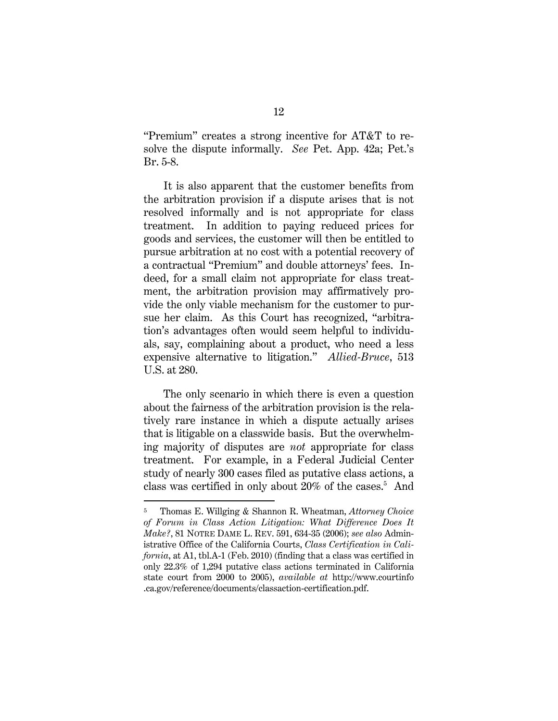"Premium" creates a strong incentive for AT&T to resolve the dispute informally. *See* Pet. App. 42a; Pet.'s Br. 5-8.

It is also apparent that the customer benefits from the arbitration provision if a dispute arises that is not resolved informally and is not appropriate for class treatment. In addition to paying reduced prices for goods and services, the customer will then be entitled to pursue arbitration at no cost with a potential recovery of a contractual "Premium" and double attorneys' fees. Indeed, for a small claim not appropriate for class treatment, the arbitration provision may affirmatively provide the only viable mechanism for the customer to pursue her claim. As this Court has recognized, "arbitration's advantages often would seem helpful to individuals, say, complaining about a product, who need a less expensive alternative to litigation." *Allied-Bruce*, 513 U.S. at 280.

The only scenario in which there is even a question about the fairness of the arbitration provision is the relatively rare instance in which a dispute actually arises that is litigable on a classwide basis. But the overwhelming majority of disputes are *not* appropriate for class treatment. For example, in a Federal Judicial Center study of nearly 300 cases filed as putative class actions, a class was certified in only about 20% of the cases.<sup>5</sup> And

l

<sup>5</sup> Thomas E. Willging & Shannon R. Wheatman, *Attorney Choice of Forum in Class Action Litigation: What Difference Does It Make?*, 81 NOTRE DAME L. REV. 591, 634-35 (2006); *see also* Administrative Office of the California Courts, *Class Certification in California*, at A1, tbl.A-1 (Feb. 2010) (finding that a class was certified in only 22.3% of 1,294 putative class actions terminated in California state court from 2000 to 2005), *available at* http://www.courtinfo .ca.gov/reference/documents/classaction-certification.pdf.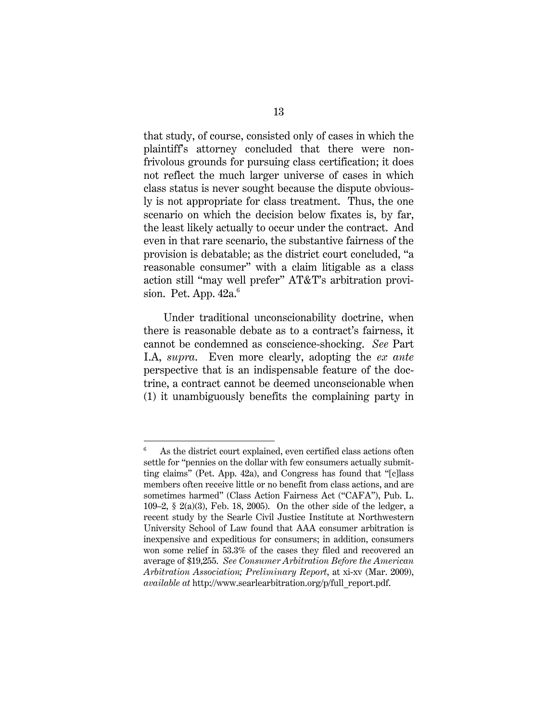that study, of course, consisted only of cases in which the plaintiff's attorney concluded that there were nonfrivolous grounds for pursuing class certification; it does not reflect the much larger universe of cases in which class status is never sought because the dispute obviously is not appropriate for class treatment. Thus, the one scenario on which the decision below fixates is, by far, the least likely actually to occur under the contract. And even in that rare scenario, the substantive fairness of the provision is debatable; as the district court concluded, "a reasonable consumer" with a claim litigable as a class action still "may well prefer" AT&T's arbitration provision. Pet. App.  $42a<sup>6</sup>$ 

Under traditional unconscionability doctrine, when there is reasonable debate as to a contract's fairness, it cannot be condemned as conscience-shocking. *See* Part I.A, *supra*.Even more clearly, adopting the *ex ante*  perspective that is an indispensable feature of the doctrine, a contract cannot be deemed unconscionable when (1) it unambiguously benefits the complaining party in

<sup>6</sup> As the district court explained, even certified class actions often settle for "pennies on the dollar with few consumers actually submitting claims" (Pet. App. 42a), and Congress has found that "[c]lass members often receive little or no benefit from class actions, and are sometimes harmed" (Class Action Fairness Act ("CAFA"), Pub. L. 109–2, § 2(a)(3), Feb. 18, 2005). On the other side of the ledger, a recent study by the Searle Civil Justice Institute at Northwestern University School of Law found that AAA consumer arbitration is inexpensive and expeditious for consumers; in addition, consumers won some relief in 53.3% of the cases they filed and recovered an average of \$19,255. *See Consumer Arbitration Before the American Arbitration Association; Preliminary Report*, at xi-xv (Mar. 2009), *available at* http://www.searlearbitration.org/p/full\_report.pdf.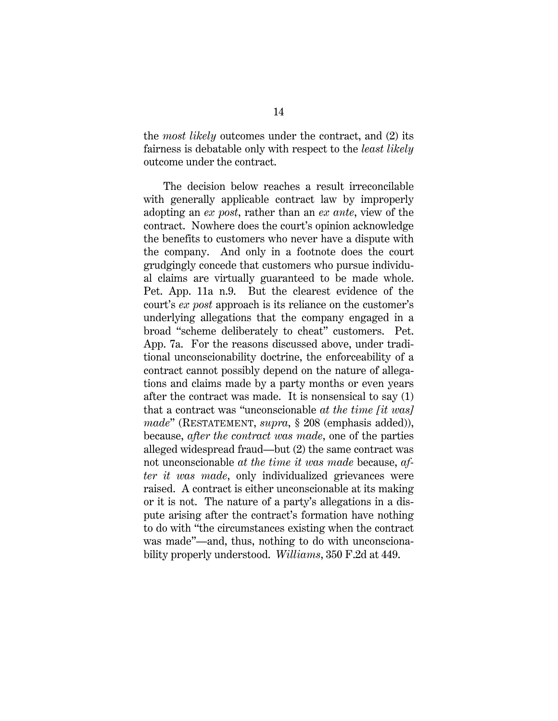the *most likely* outcomes under the contract, and (2) its fairness is debatable only with respect to the *least likely*  outcome under the contract.

The decision below reaches a result irreconcilable with generally applicable contract law by improperly adopting an *ex post*, rather than an *ex ante*, view of the contract. Nowhere does the court's opinion acknowledge the benefits to customers who never have a dispute with the company. And only in a footnote does the court grudgingly concede that customers who pursue individual claims are virtually guaranteed to be made whole. Pet. App. 11a n.9. But the clearest evidence of the court's *ex post* approach is its reliance on the customer's underlying allegations that the company engaged in a broad "scheme deliberately to cheat" customers. Pet. App. 7a. For the reasons discussed above, under traditional unconscionability doctrine, the enforceability of a contract cannot possibly depend on the nature of allegations and claims made by a party months or even years after the contract was made. It is nonsensical to say (1) that a contract was "unconscionable *at the time [it was] made*" (RESTATEMENT, *supra*, § 208 (emphasis added)), because, *after the contract was made*, one of the parties alleged widespread fraud—but (2) the same contract was not unconscionable *at the time it was made* because, *after it was made*, only individualized grievances were raised. A contract is either unconscionable at its making or it is not. The nature of a party's allegations in a dispute arising after the contract's formation have nothing to do with "the circumstances existing when the contract was made"—and, thus, nothing to do with unconscionability properly understood. *Williams*, 350 F.2d at 449.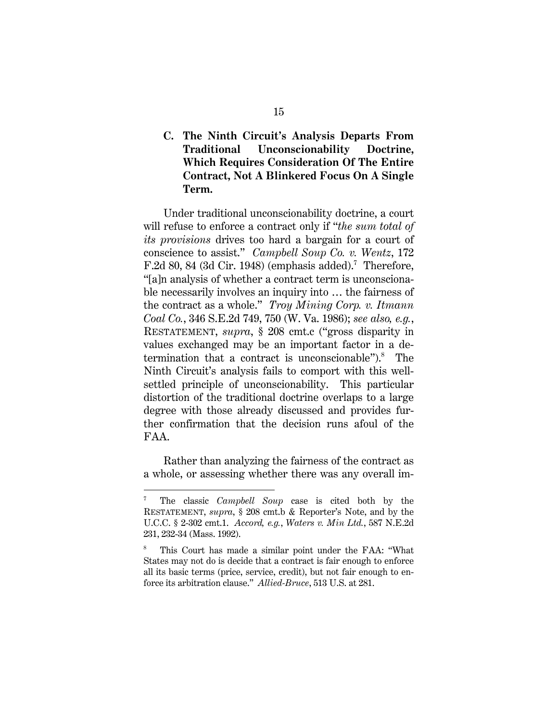### **C. The Ninth Circuit's Analysis Departs From Traditional Unconscionability Doctrine, Which Requires Consideration Of The Entire Contract, Not A Blinkered Focus On A Single Term.**

Under traditional unconscionability doctrine, a court will refuse to enforce a contract only if "*the sum total of its provisions* drives too hard a bargain for a court of conscience to assist." *Campbell Soup Co. v. Wentz*, 172 F.2d 80, 84 (3d Cir. 1948) (emphasis added).<sup>7</sup> Therefore, "[a]n analysis of whether a contract term is unconscionable necessarily involves an inquiry into … the fairness of the contract as a whole." *Troy Mining Corp. v. Itmann Coal Co.*, 346 S.E.2d 749, 750 (W. Va. 1986); *see also, e.g.*, RESTATEMENT, *supra*, § 208 cmt.c ("gross disparity in values exchanged may be an important factor in a determination that a contract is unconscionable").<sup>8</sup> The Ninth Circuit's analysis fails to comport with this wellsettled principle of unconscionability. This particular distortion of the traditional doctrine overlaps to a large degree with those already discussed and provides further confirmation that the decision runs afoul of the FAA.

Rather than analyzing the fairness of the contract as a whole, or assessing whether there was any overall im-

l

<sup>7</sup> The classic *Campbell Soup* case is cited both by the RESTATEMENT, *supra*, § 208 cmt.b & Reporter's Note, and by the U.C.C. § 2-302 cmt.1. *Accord, e.g.*, *Waters v. Min Ltd.*, 587 N.E.2d 231, 232-34 (Mass. 1992).

<sup>8</sup> This Court has made a similar point under the FAA: "What States may not do is decide that a contract is fair enough to enforce all its basic terms (price, service, credit), but not fair enough to enforce its arbitration clause." *Allied-Bruce*, 513 U.S. at 281.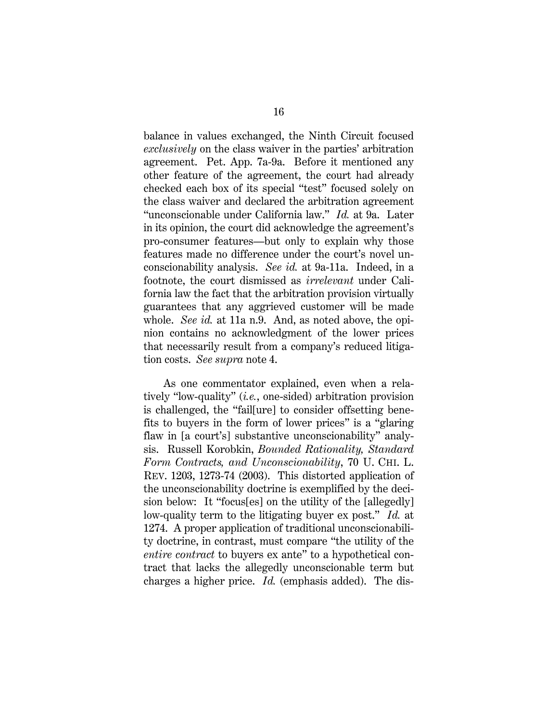balance in values exchanged, the Ninth Circuit focused *exclusively* on the class waiver in the parties' arbitration agreement. Pet. App. 7a-9a. Before it mentioned any other feature of the agreement, the court had already checked each box of its special "test" focused solely on the class waiver and declared the arbitration agreement "unconscionable under California law." *Id.* at 9a. Later in its opinion, the court did acknowledge the agreement's pro-consumer features—but only to explain why those features made no difference under the court's novel unconscionability analysis. *See id.* at 9a-11a. Indeed, in a footnote, the court dismissed as *irrelevant* under California law the fact that the arbitration provision virtually guarantees that any aggrieved customer will be made whole. *See id.* at 11a n.9. And, as noted above, the opinion contains no acknowledgment of the lower prices that necessarily result from a company's reduced litigation costs. *See supra* note 4.

As one commentator explained, even when a relatively "low-quality" (*i.e.*, one-sided) arbitration provision is challenged, the "fail[ure] to consider offsetting benefits to buyers in the form of lower prices" is a "glaring flaw in [a court's] substantive unconscionability" analysis. Russell Korobkin, *Bounded Rationality, Standard Form Contracts, and Unconscionability*, 70 U. CHI. L. REV. 1203, 1273-74 (2003). This distorted application of the unconscionability doctrine is exemplified by the decision below: It "focus[es] on the utility of the [allegedly] low-quality term to the litigating buyer ex post." *Id.* at 1274. A proper application of traditional unconscionability doctrine, in contrast, must compare "the utility of the *entire contract* to buyers ex ante" to a hypothetical contract that lacks the allegedly unconscionable term but charges a higher price. *Id.* (emphasis added). The dis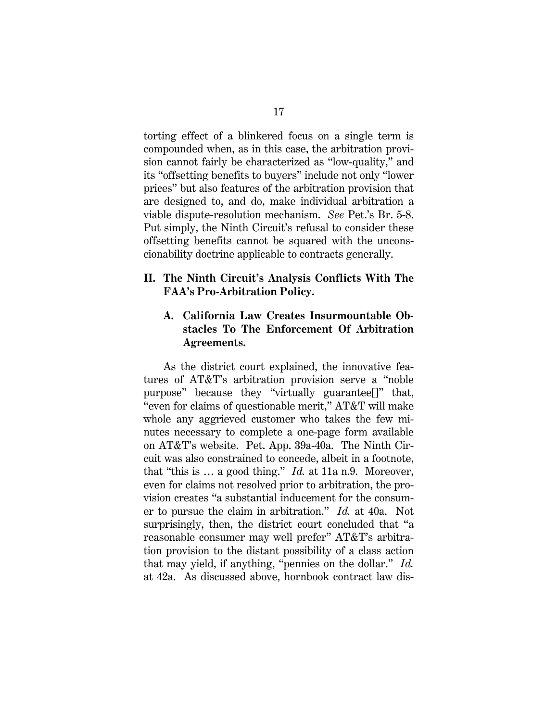torting effect of a blinkered focus on a single term is compounded when, as in this case, the arbitration provision cannot fairly be characterized as "low-quality," and its "offsetting benefits to buyers" include not only "lower prices" but also features of the arbitration provision that are designed to, and do, make individual arbitration a viable dispute-resolution mechanism. *See* Pet.'s Br. 5-8. Put simply, the Ninth Circuit's refusal to consider these offsetting benefits cannot be squared with the unconscionability doctrine applicable to contracts generally.

#### **II. The Ninth Circuit's Analysis Conflicts With The FAA's Pro-Arbitration Policy.**

## **A. California Law Creates Insurmountable Obstacles To The Enforcement Of Arbitration Agreements.**

As the district court explained, the innovative features of AT&T's arbitration provision serve a "noble purpose" because they "virtually guarantee[]" that, "even for claims of questionable merit," AT&T will make whole any aggrieved customer who takes the few minutes necessary to complete a one-page form available on AT&T's website. Pet. App. 39a-40a. The Ninth Circuit was also constrained to concede, albeit in a footnote, that "this is … a good thing." *Id.* at 11a n.9. Moreover, even for claims not resolved prior to arbitration, the provision creates "a substantial inducement for the consumer to pursue the claim in arbitration." *Id.* at 40a. Not surprisingly, then, the district court concluded that "a reasonable consumer may well prefer" AT&T's arbitration provision to the distant possibility of a class action that may yield, if anything, "pennies on the dollar." *Id.* at 42a. As discussed above, hornbook contract law dis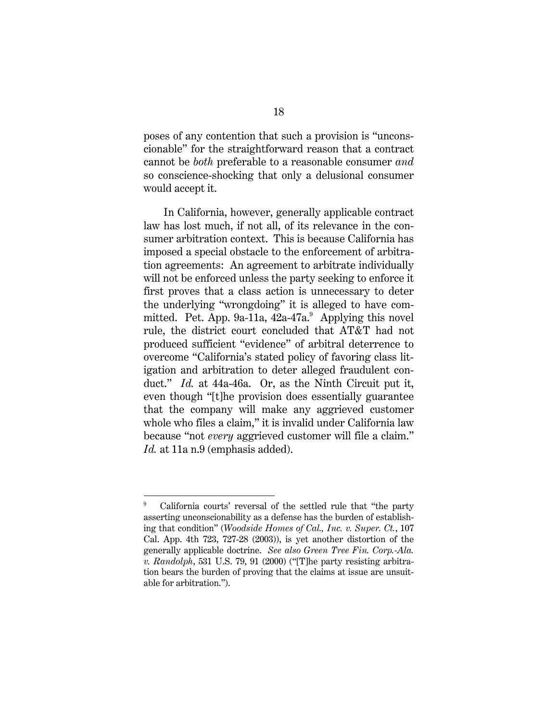poses of any contention that such a provision is "unconscionable" for the straightforward reason that a contract cannot be *both* preferable to a reasonable consumer *and*  so conscience-shocking that only a delusional consumer would accept it.

In California, however, generally applicable contract law has lost much, if not all, of its relevance in the consumer arbitration context. This is because California has imposed a special obstacle to the enforcement of arbitration agreements: An agreement to arbitrate individually will not be enforced unless the party seeking to enforce it first proves that a class action is unnecessary to deter the underlying "wrongdoing" it is alleged to have committed. Pet. App. 9a-11a,  $42a-47a$ . Applying this novel rule, the district court concluded that AT&T had not produced sufficient "evidence" of arbitral deterrence to overcome "California's stated policy of favoring class litigation and arbitration to deter alleged fraudulent conduct." *Id.* at 44a-46a. Or, as the Ninth Circuit put it, even though "[t]he provision does essentially guarantee that the company will make any aggrieved customer whole who files a claim," it is invalid under California law because "not *every* aggrieved customer will file a claim." Id. at 11a n.9 (emphasis added).

l

<sup>9</sup> California courts' reversal of the settled rule that "the party asserting unconscionability as a defense has the burden of establishing that condition" (*Woodside Homes of Cal., Inc. v. Super. Ct.*, 107 Cal. App. 4th 723, 727-28 (2003)), is yet another distortion of the generally applicable doctrine. *See also Green Tree Fin. Corp.-Ala. v. Randolph*, 531 U.S. 79, 91 (2000) ("[T]he party resisting arbitration bears the burden of proving that the claims at issue are unsuitable for arbitration.").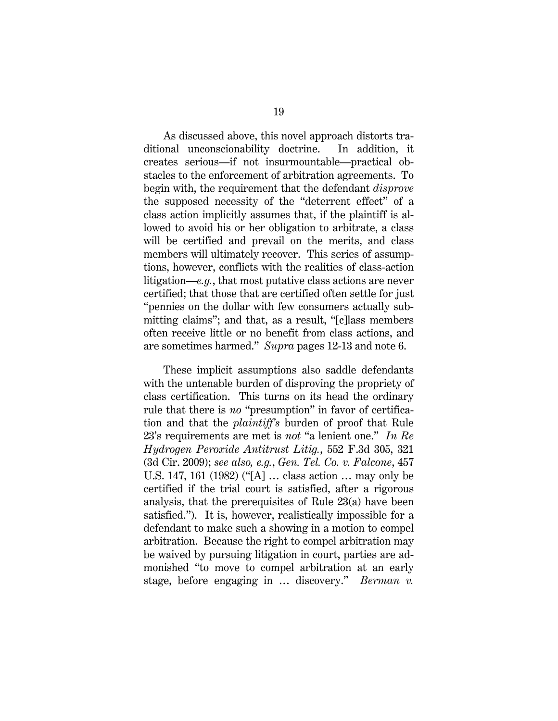As discussed above, this novel approach distorts traditional unconscionability doctrine. In addition, it creates serious—if not insurmountable—practical obstacles to the enforcement of arbitration agreements. To begin with, the requirement that the defendant *disprove* the supposed necessity of the "deterrent effect" of a class action implicitly assumes that, if the plaintiff is allowed to avoid his or her obligation to arbitrate, a class will be certified and prevail on the merits, and class members will ultimately recover. This series of assumptions, however, conflicts with the realities of class-action litigation—*e.g.*, that most putative class actions are never certified; that those that are certified often settle for just "pennies on the dollar with few consumers actually submitting claims"; and that, as a result, "[c]lass members often receive little or no benefit from class actions, and are sometimes harmed." *Supra* pages 12-13 and note 6.

These implicit assumptions also saddle defendants with the untenable burden of disproving the propriety of class certification. This turns on its head the ordinary rule that there is *no* "presumption" in favor of certification and that the *plaintiff's* burden of proof that Rule 23's requirements are met is *not* "a lenient one." *In Re Hydrogen Peroxide Antitrust Litig.*, 552 F.3d 305, 321 (3d Cir. 2009); *see also, e.g.*, *Gen. Tel. Co. v. Falcone*, 457 U.S. 147, 161 (1982) ("[A] … class action … may only be certified if the trial court is satisfied, after a rigorous analysis, that the prerequisites of Rule 23(a) have been satisfied."). It is, however, realistically impossible for a defendant to make such a showing in a motion to compel arbitration. Because the right to compel arbitration may be waived by pursuing litigation in court, parties are admonished "to move to compel arbitration at an early stage, before engaging in … discovery." *Berman v.*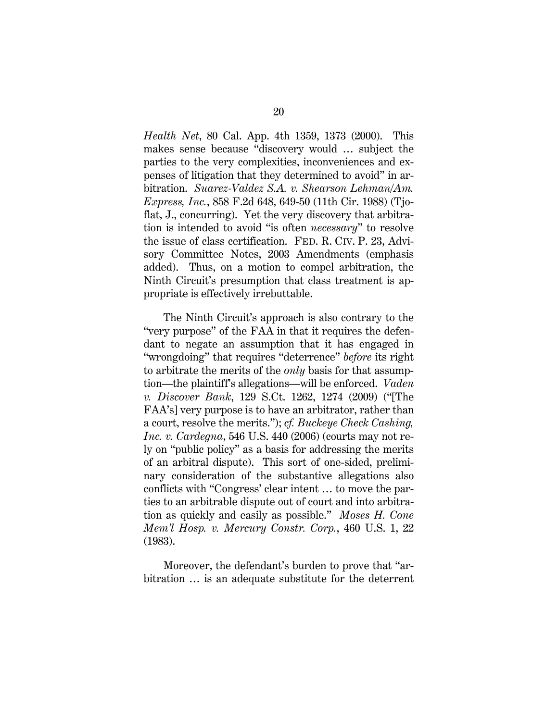*Health Net*, 80 Cal. App. 4th 1359, 1373 (2000). This makes sense because "discovery would … subject the parties to the very complexities, inconveniences and expenses of litigation that they determined to avoid" in arbitration. *Suarez-Valdez S.A. v. Shearson Lehman/Am. Express, Inc.*, 858 F.2d 648, 649-50 (11th Cir. 1988) (Tjoflat, J., concurring). Yet the very discovery that arbitration is intended to avoid "is often *necessary*" to resolve the issue of class certification. FED. R. CIV. P. 23, Advisory Committee Notes, 2003 Amendments (emphasis added). Thus, on a motion to compel arbitration, the Ninth Circuit's presumption that class treatment is appropriate is effectively irrebuttable.

The Ninth Circuit's approach is also contrary to the "very purpose" of the FAA in that it requires the defendant to negate an assumption that it has engaged in "wrongdoing" that requires "deterrence" *before* its right to arbitrate the merits of the *only* basis for that assumption—the plaintiff's allegations—will be enforced. *Vaden v. Discover Bank*, 129 S.Ct. 1262, 1274 (2009) ("[The FAA's] very purpose is to have an arbitrator, rather than a court, resolve the merits."); *cf. Buckeye Check Cashing, Inc. v. Cardegna*, 546 U.S. 440 (2006) (courts may not rely on "public policy" as a basis for addressing the merits of an arbitral dispute). This sort of one-sided, preliminary consideration of the substantive allegations also conflicts with "Congress' clear intent … to move the parties to an arbitrable dispute out of court and into arbitration as quickly and easily as possible." *Moses H. Cone Mem'l Hosp. v. Mercury Constr. Corp.*, 460 U.S. 1, 22 (1983).

Moreover, the defendant's burden to prove that "arbitration … is an adequate substitute for the deterrent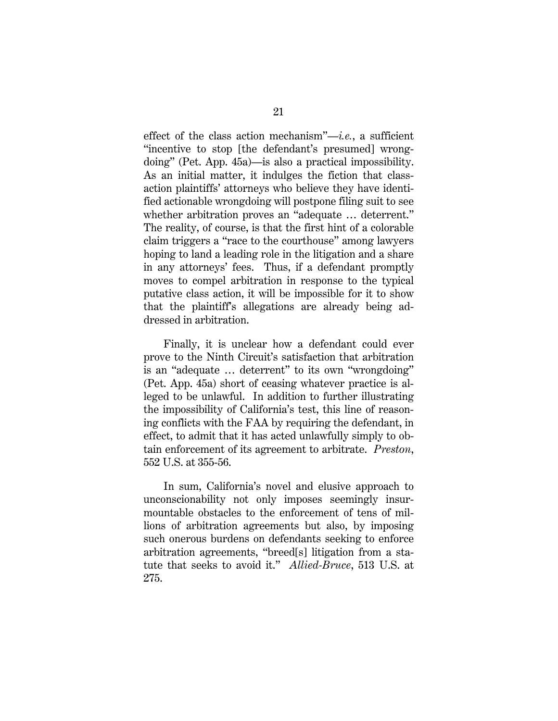effect of the class action mechanism"—*i.e.*, a sufficient "incentive to stop [the defendant's presumed] wrongdoing" (Pet. App. 45a)—is also a practical impossibility. As an initial matter, it indulges the fiction that classaction plaintiffs' attorneys who believe they have identified actionable wrongdoing will postpone filing suit to see whether arbitration proves an "adequate … deterrent." The reality, of course, is that the first hint of a colorable claim triggers a "race to the courthouse" among lawyers hoping to land a leading role in the litigation and a share in any attorneys' fees. Thus, if a defendant promptly moves to compel arbitration in response to the typical putative class action, it will be impossible for it to show that the plaintiff's allegations are already being addressed in arbitration.

Finally, it is unclear how a defendant could ever prove to the Ninth Circuit's satisfaction that arbitration is an "adequate … deterrent" to its own "wrongdoing" (Pet. App. 45a) short of ceasing whatever practice is alleged to be unlawful. In addition to further illustrating the impossibility of California's test, this line of reasoning conflicts with the FAA by requiring the defendant, in effect, to admit that it has acted unlawfully simply to obtain enforcement of its agreement to arbitrate. *Preston*, 552 U.S. at 355-56.

In sum, California's novel and elusive approach to unconscionability not only imposes seemingly insurmountable obstacles to the enforcement of tens of millions of arbitration agreements but also, by imposing such onerous burdens on defendants seeking to enforce arbitration agreements, "breed[s] litigation from a statute that seeks to avoid it." *Allied-Bruce*, 513 U.S. at 275.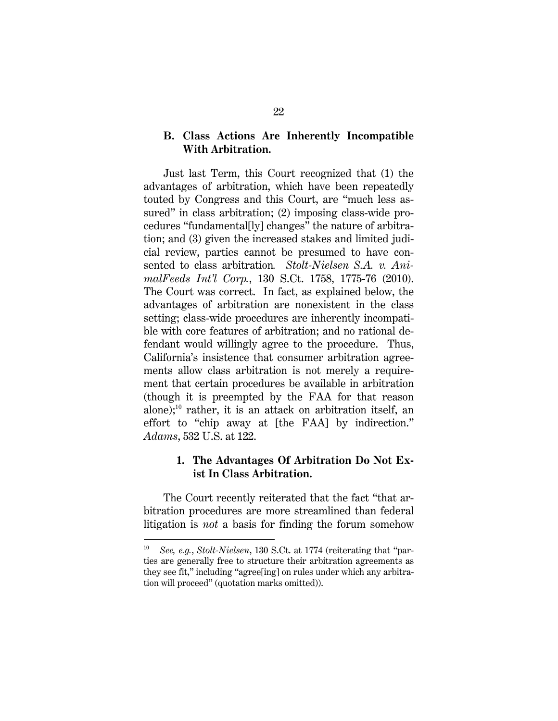#### **B. Class Actions Are Inherently Incompatible With Arbitration.**

Just last Term, this Court recognized that (1) the advantages of arbitration, which have been repeatedly touted by Congress and this Court, are "much less assured" in class arbitration; (2) imposing class-wide procedures "fundamental[ly] changes" the nature of arbitration; and (3) given the increased stakes and limited judicial review, parties cannot be presumed to have consented to class arbitration*. Stolt-Nielsen S.A. v. AnimalFeeds Int'l Corp.*, 130 S.Ct. 1758, 1775-76 (2010). The Court was correct. In fact, as explained below, the advantages of arbitration are nonexistent in the class setting; class-wide procedures are inherently incompatible with core features of arbitration; and no rational defendant would willingly agree to the procedure. Thus, California's insistence that consumer arbitration agreements allow class arbitration is not merely a requirement that certain procedures be available in arbitration (though it is preempted by the FAA for that reason alone); $^{10}$  rather, it is an attack on arbitration itself, an effort to "chip away at [the FAA] by indirection." *Adams*, 532 U.S. at 122.

#### **1. The Advantages Of Arbitration Do Not Exist In Class Arbitration.**

The Court recently reiterated that the fact "that arbitration procedures are more streamlined than federal litigation is *not* a basis for finding the forum somehow

<sup>10</sup> *See, e.g.*, *Stolt-Nielsen*, 130 S.Ct. at 1774 (reiterating that "parties are generally free to structure their arbitration agreements as they see fit," including "agree[ing] on rules under which any arbitration will proceed" (quotation marks omitted)).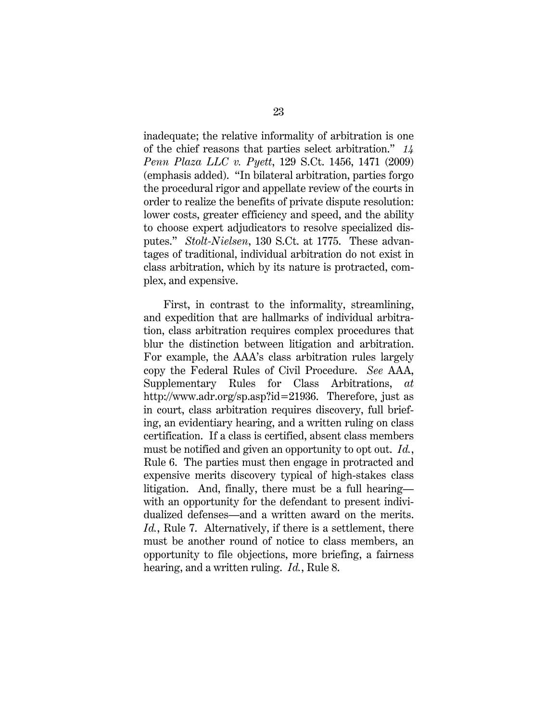inadequate; the relative informality of arbitration is one of the chief reasons that parties select arbitration." *14 Penn Plaza LLC v. Pyett*, 129 S.Ct. 1456, 1471 (2009) (emphasis added). "In bilateral arbitration, parties forgo the procedural rigor and appellate review of the courts in order to realize the benefits of private dispute resolution: lower costs, greater efficiency and speed, and the ability to choose expert adjudicators to resolve specialized disputes." *Stolt-Nielsen*, 130 S.Ct. at 1775. These advantages of traditional, individual arbitration do not exist in class arbitration, which by its nature is protracted, complex, and expensive.

First, in contrast to the informality, streamlining, and expedition that are hallmarks of individual arbitration, class arbitration requires complex procedures that blur the distinction between litigation and arbitration. For example, the AAA's class arbitration rules largely copy the Federal Rules of Civil Procedure. *See* AAA, Supplementary Rules for Class Arbitrations, *at* http://www.adr.org/sp.asp?id=21936. Therefore, just as in court, class arbitration requires discovery, full briefing, an evidentiary hearing, and a written ruling on class certification. If a class is certified, absent class members must be notified and given an opportunity to opt out. *Id.*, Rule 6. The parties must then engage in protracted and expensive merits discovery typical of high-stakes class litigation. And, finally, there must be a full hearing with an opportunity for the defendant to present individualized defenses—and a written award on the merits. *Id.*, Rule 7. Alternatively, if there is a settlement, there must be another round of notice to class members, an opportunity to file objections, more briefing, a fairness hearing, and a written ruling. *Id.*, Rule 8.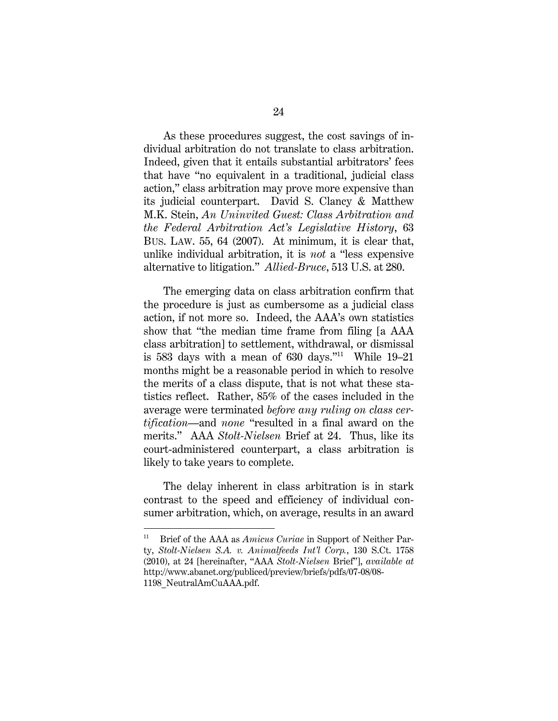As these procedures suggest, the cost savings of individual arbitration do not translate to class arbitration. Indeed, given that it entails substantial arbitrators' fees that have "no equivalent in a traditional, judicial class action," class arbitration may prove more expensive than its judicial counterpart. David S. Clancy & Matthew M.K. Stein, *An Uninvited Guest: Class Arbitration and the Federal Arbitration Act's Legislative History*, 63 BUS. LAW. 55, 64 (2007).At minimum, it is clear that, unlike individual arbitration, it is *not* a "less expensive alternative to litigation." *Allied-Bruce*, 513 U.S. at 280.

The emerging data on class arbitration confirm that the procedure is just as cumbersome as a judicial class action, if not more so. Indeed, the AAA's own statistics show that "the median time frame from filing [a AAA class arbitration] to settlement, withdrawal, or dismissal is 583 days with a mean of  $630$  days."<sup>11</sup> While  $19-21$ months might be a reasonable period in which to resolve the merits of a class dispute, that is not what these statistics reflect. Rather, 85% of the cases included in the average were terminated *before any ruling on class certification*—and *none* "resulted in a final award on the merits." AAA *Stolt-Nielsen* Brief at 24. Thus, like its court-administered counterpart, a class arbitration is likely to take years to complete.

The delay inherent in class arbitration is in stark contrast to the speed and efficiency of individual consumer arbitration, which, on average, results in an award

l

<sup>11</sup> Brief of the AAA as *Amicus Curiae* in Support of Neither Party, *Stolt-Nielsen S.A. v. Animalfeeds Int'l Corp.*, 130 S.Ct. 1758 (2010), at 24 [hereinafter, "AAA *Stolt-Nielsen* Brief"], *available at*  http://www.abanet.org/publiced/preview/briefs/pdfs/07-08/08- 1198\_NeutralAmCuAAA.pdf.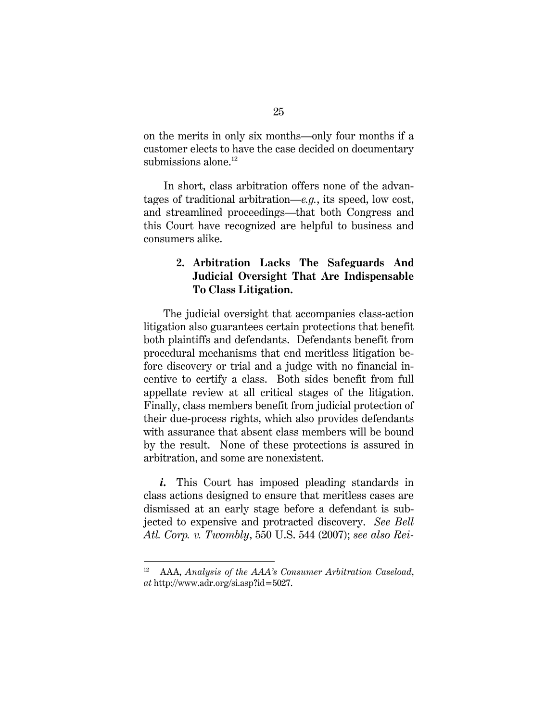on the merits in only six months—only four months if a customer elects to have the case decided on documentary submissions alone. $^{12}$ 

In short, class arbitration offers none of the advantages of traditional arbitration—*e.g.*, its speed, low cost, and streamlined proceedings—that both Congress and this Court have recognized are helpful to business and consumers alike.

## **2. Arbitration Lacks The Safeguards And Judicial Oversight That Are Indispensable To Class Litigation.**

The judicial oversight that accompanies class-action litigation also guarantees certain protections that benefit both plaintiffs and defendants. Defendants benefit from procedural mechanisms that end meritless litigation before discovery or trial and a judge with no financial incentive to certify a class. Both sides benefit from full appellate review at all critical stages of the litigation. Finally, class members benefit from judicial protection of their due-process rights, which also provides defendants with assurance that absent class members will be bound by the result. None of these protections is assured in arbitration, and some are nonexistent.

*i.* This Court has imposed pleading standards in class actions designed to ensure that meritless cases are dismissed at an early stage before a defendant is subjected to expensive and protracted discovery. *See Bell Atl. Corp. v. Twombly*, 550 U.S. 544 (2007); *see also Rei-*

<sup>12</sup> AAA, *Analysis of the AAA's Consumer Arbitration Caseload*, *at* http://www.adr.org/si.asp?id=5027.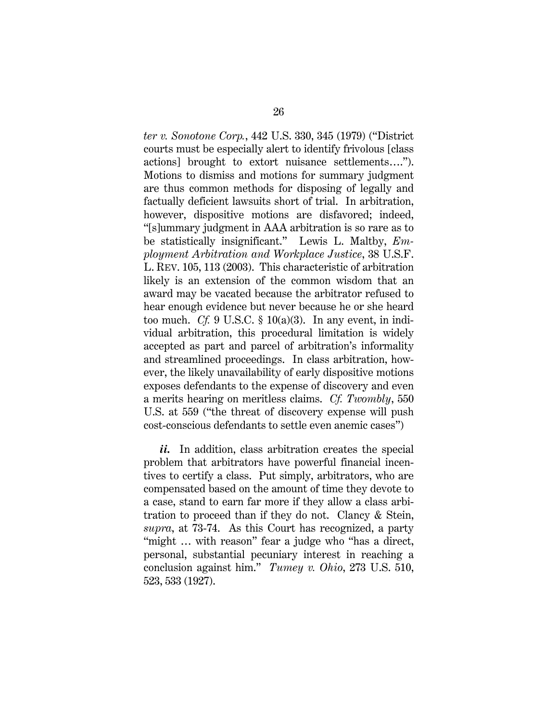*ter v. Sonotone Corp.*, 442 U.S. 330, 345 (1979) ("District courts must be especially alert to identify frivolous [class actions] brought to extort nuisance settlements…."). Motions to dismiss and motions for summary judgment are thus common methods for disposing of legally and factually deficient lawsuits short of trial. In arbitration, however, dispositive motions are disfavored; indeed, "[s]ummary judgment in AAA arbitration is so rare as to be statistically insignificant." Lewis L. Maltby, *Employment Arbitration and Workplace Justice*, 38 U.S.F. L. REV. 105, 113 (2003). This characteristic of arbitration likely is an extension of the common wisdom that an award may be vacated because the arbitrator refused to hear enough evidence but never because he or she heard too much. *Cf.* 9 U.S.C.  $\S$  10(a)(3). In any event, in individual arbitration, this procedural limitation is widely accepted as part and parcel of arbitration's informality and streamlined proceedings. In class arbitration, however, the likely unavailability of early dispositive motions exposes defendants to the expense of discovery and even a merits hearing on meritless claims. *Cf. Twombly*, 550 U.S. at 559 ("the threat of discovery expense will push cost-conscious defendants to settle even anemic cases")

*ii.* In addition, class arbitration creates the special problem that arbitrators have powerful financial incentives to certify a class. Put simply, arbitrators, who are compensated based on the amount of time they devote to a case, stand to earn far more if they allow a class arbitration to proceed than if they do not. Clancy & Stein, *supra*, at 73-74. As this Court has recognized, a party "might ... with reason" fear a judge who "has a direct, personal, substantial pecuniary interest in reaching a conclusion against him." *Tumey v. Ohio*, 273 U.S. 510, 523, 533 (1927).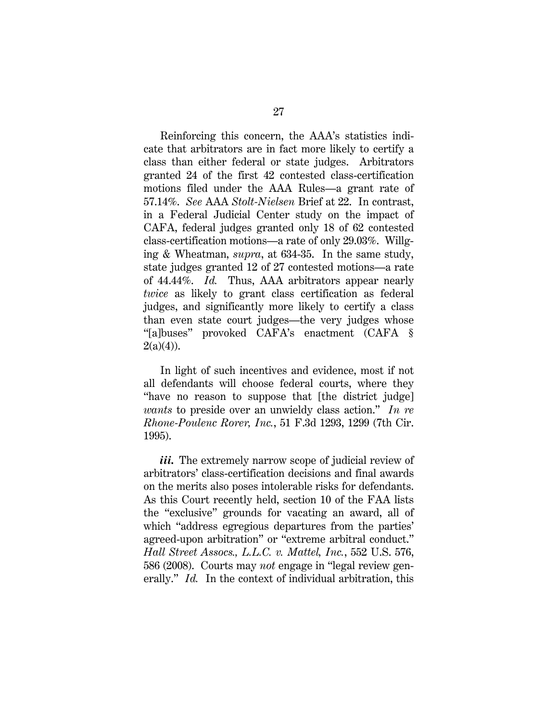Reinforcing this concern, the AAA's statistics indicate that arbitrators are in fact more likely to certify a class than either federal or state judges. Arbitrators granted 24 of the first 42 contested class-certification motions filed under the AAA Rules—a grant rate of 57.14%. *See* AAA *Stolt-Nielsen* Brief at 22. In contrast, in a Federal Judicial Center study on the impact of CAFA, federal judges granted only 18 of 62 contested class-certification motions—a rate of only 29.03%. Willging & Wheatman, *supra*, at 634-35. In the same study, state judges granted 12 of 27 contested motions—a rate of 44.44%. *Id.* Thus, AAA arbitrators appear nearly *twice* as likely to grant class certification as federal judges, and significantly more likely to certify a class than even state court judges—the very judges whose "[a]buses" provoked CAFA's enactment (CAFA §  $2(a)(4)$ ).

 In light of such incentives and evidence, most if not all defendants will choose federal courts, where they "have no reason to suppose that [the district judge] *wants* to preside over an unwieldy class action." *In re Rhone-Poulenc Rorer, Inc.*, 51 F.3d 1293, 1299 (7th Cir. 1995).

iii. The extremely narrow scope of judicial review of arbitrators' class-certification decisions and final awards on the merits also poses intolerable risks for defendants. As this Court recently held, section 10 of the FAA lists the "exclusive" grounds for vacating an award, all of which "address egregious departures from the parties' agreed-upon arbitration" or "extreme arbitral conduct." *Hall Street Assocs., L.L.C. v. Mattel, Inc.*, 552 U.S. 576, 586 (2008). Courts may *not* engage in "legal review generally." *Id.* In the context of individual arbitration, this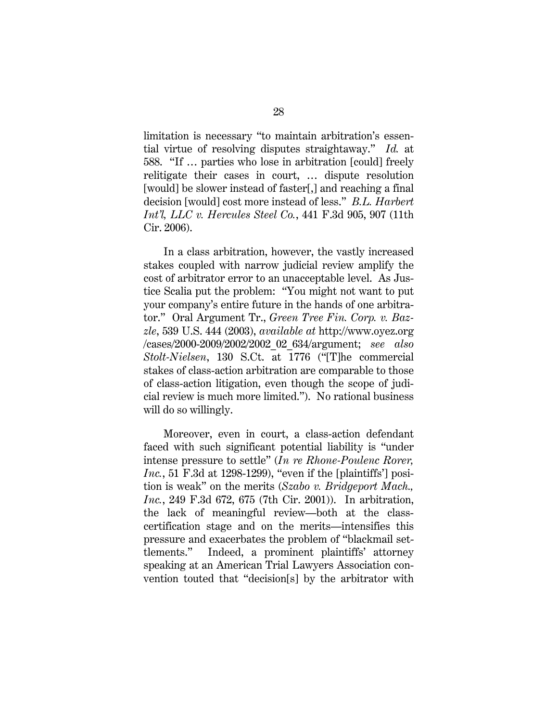limitation is necessary "to maintain arbitration's essential virtue of resolving disputes straightaway." *Id.* at 588. "If … parties who lose in arbitration [could] freely relitigate their cases in court, … dispute resolution [would] be slower instead of faster[,] and reaching a final decision [would] cost more instead of less." *B.L. Harbert Int'l, LLC v. Hercules Steel Co.*, 441 F.3d 905, 907 (11th Cir. 2006).

In a class arbitration, however, the vastly increased stakes coupled with narrow judicial review amplify the cost of arbitrator error to an unacceptable level. As Justice Scalia put the problem: "You might not want to put your company's entire future in the hands of one arbitrator." Oral Argument Tr., *Green Tree Fin. Corp. v. Bazzle*, 539 U.S. 444 (2003), *available at* http://www.oyez.org /cases/2000-2009/2002/2002\_02\_634/argument; *see also Stolt-Nielsen*, 130 S.Ct. at 1776 ("[T]he commercial stakes of class-action arbitration are comparable to those of class-action litigation, even though the scope of judicial review is much more limited."). No rational business will do so willingly.

Moreover, even in court, a class-action defendant faced with such significant potential liability is "under intense pressure to settle" (*In re Rhone-Poulenc Rorer, Inc.*, 51 F.3d at 1298-1299), "even if the [plaintiffs'] position is weak" on the merits (*Szabo v. Bridgeport Mach., Inc.*, 249 F.3d 672, 675 (7th Cir. 2001)). In arbitration, the lack of meaningful review—both at the classcertification stage and on the merits—intensifies this pressure and exacerbates the problem of "blackmail settlements." Indeed, a prominent plaintiffs' attorney speaking at an American Trial Lawyers Association convention touted that "decision[s] by the arbitrator with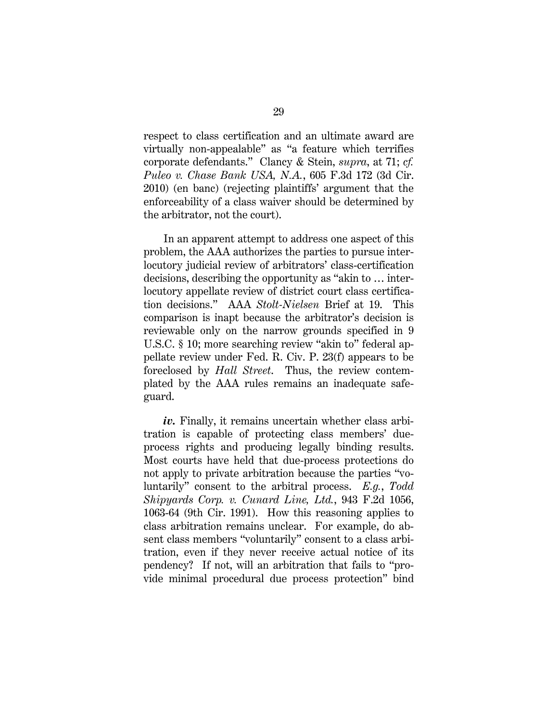respect to class certification and an ultimate award are virtually non-appealable" as "a feature which terrifies corporate defendants." Clancy & Stein, *supra*, at 71; *cf. Puleo v. Chase Bank USA, N.A.*, 605 F.3d 172 (3d Cir. 2010) (en banc) (rejecting plaintiffs' argument that the enforceability of a class waiver should be determined by the arbitrator, not the court).

In an apparent attempt to address one aspect of this problem, the AAA authorizes the parties to pursue interlocutory judicial review of arbitrators' class-certification decisions, describing the opportunity as "akin to … interlocutory appellate review of district court class certification decisions." AAA *Stolt-Nielsen* Brief at 19. This comparison is inapt because the arbitrator's decision is reviewable only on the narrow grounds specified in 9 U.S.C. § 10; more searching review "akin to" federal appellate review under Fed. R. Civ. P. 23(f) appears to be foreclosed by *Hall Street*. Thus, the review contemplated by the AAA rules remains an inadequate safeguard.

iv. Finally, it remains uncertain whether class arbitration is capable of protecting class members' dueprocess rights and producing legally binding results. Most courts have held that due-process protections do not apply to private arbitration because the parties "voluntarily" consent to the arbitral process. *E.g.*, *Todd Shipyards Corp. v. Cunard Line, Ltd.*, 943 F.2d 1056, 1063-64 (9th Cir. 1991). How this reasoning applies to class arbitration remains unclear. For example, do absent class members "voluntarily" consent to a class arbitration, even if they never receive actual notice of its pendency? If not, will an arbitration that fails to "provide minimal procedural due process protection" bind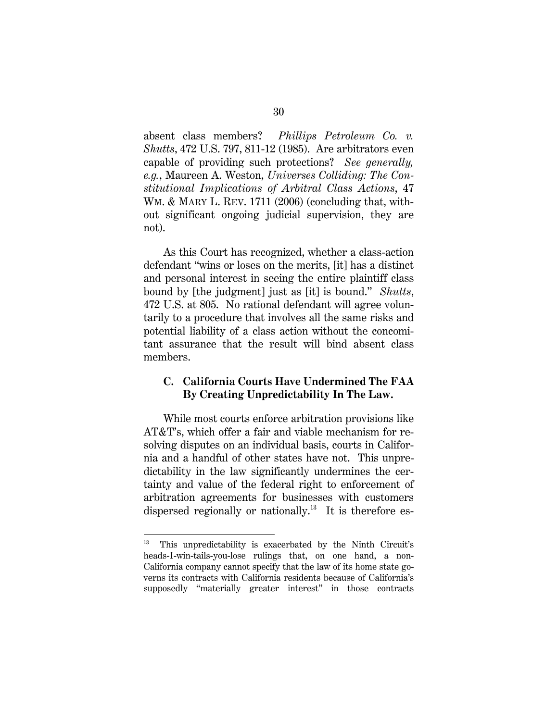absent class members? *Phillips Petroleum Co. v. Shutts*, 472 U.S. 797, 811-12 (1985). Are arbitrators even capable of providing such protections? *See generally, e.g.*, Maureen A. Weston, *Universes Colliding: The Constitutional Implications of Arbitral Class Actions*, 47 WM. & MARY L. REV. 1711 (2006) (concluding that, without significant ongoing judicial supervision, they are not).

As this Court has recognized, whether a class-action defendant "wins or loses on the merits, [it] has a distinct and personal interest in seeing the entire plaintiff class bound by [the judgment] just as [it] is bound." *Shutts*, 472 U.S. at 805. No rational defendant will agree voluntarily to a procedure that involves all the same risks and potential liability of a class action without the concomitant assurance that the result will bind absent class members.

### **C. California Courts Have Undermined The FAA By Creating Unpredictability In The Law.**

While most courts enforce arbitration provisions like AT&T's, which offer a fair and viable mechanism for resolving disputes on an individual basis, courts in California and a handful of other states have not. This unpredictability in the law significantly undermines the certainty and value of the federal right to enforcement of arbitration agreements for businesses with customers dispersed regionally or nationally.<sup>13</sup> It is therefore es-

<sup>&</sup>lt;sup>13</sup> This unpredictability is exacerbated by the Ninth Circuit's heads-I-win-tails-you-lose rulings that, on one hand, a non-California company cannot specify that the law of its home state governs its contracts with California residents because of California's supposedly "materially greater interest" in those contracts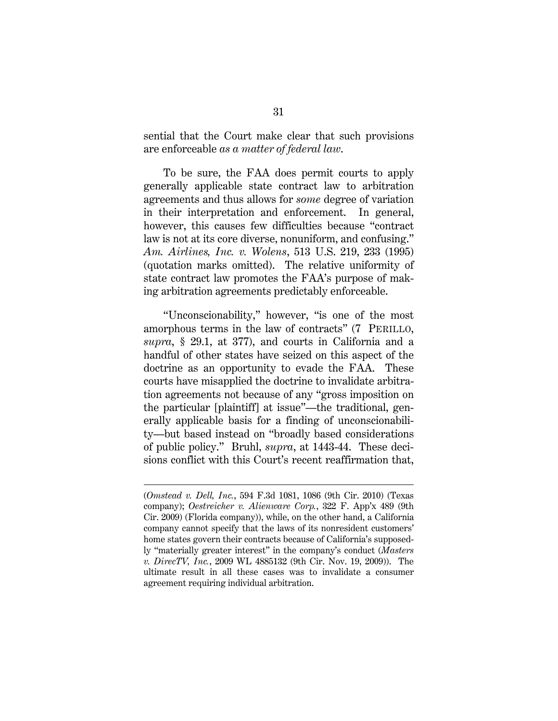sential that the Court make clear that such provisions are enforceable *as a matter of federal law*.

To be sure, the FAA does permit courts to apply generally applicable state contract law to arbitration agreements and thus allows for *some* degree of variation in their interpretation and enforcement. In general, however, this causes few difficulties because "contract law is not at its core diverse, nonuniform, and confusing." *Am. Airlines, Inc. v. Wolens*, 513 U.S. 219, 233 (1995) (quotation marks omitted). The relative uniformity of state contract law promotes the FAA's purpose of making arbitration agreements predictably enforceable.

"Unconscionability," however, "is one of the most amorphous terms in the law of contracts" (7 PERILLO, *supra*, § 29.1, at 377), and courts in California and a handful of other states have seized on this aspect of the doctrine as an opportunity to evade the FAA. These courts have misapplied the doctrine to invalidate arbitration agreements not because of any "gross imposition on the particular [plaintiff] at issue"—the traditional, generally applicable basis for a finding of unconscionability—but based instead on "broadly based considerations of public policy." Bruhl, *supra*, at 1443-44. These decisions conflict with this Court's recent reaffirmation that,

l

<sup>(</sup>*Omstead v. Dell, Inc.*, 594 F.3d 1081, 1086 (9th Cir. 2010) (Texas company); *Oestreicher v. Alienware Corp.*, 322 F. App'x 489 (9th Cir. 2009) (Florida company)), while, on the other hand, a California company cannot specify that the laws of its nonresident customers' home states govern their contracts because of California's supposedly "materially greater interest" in the company's conduct (*Masters v. DirecTV, Inc.*, 2009 WL 4885132 (9th Cir. Nov. 19, 2009)). The ultimate result in all these cases was to invalidate a consumer agreement requiring individual arbitration.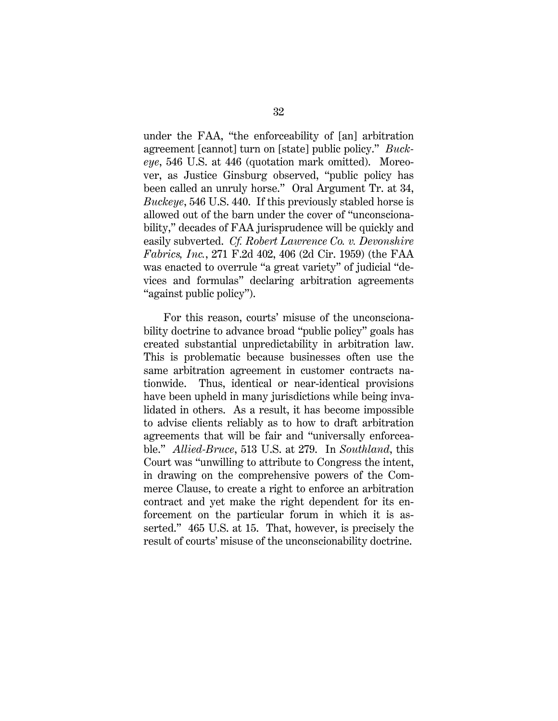under the FAA, "the enforceability of [an] arbitration agreement [cannot] turn on [state] public policy." *Buckeye*, 546 U.S. at 446 (quotation mark omitted). Moreover, as Justice Ginsburg observed, "public policy has been called an unruly horse." Oral Argument Tr. at 34, *Buckeye*, 546 U.S. 440. If this previously stabled horse is allowed out of the barn under the cover of "unconscionability," decades of FAA jurisprudence will be quickly and easily subverted. *Cf. Robert Lawrence Co. v. Devonshire Fabrics, Inc.*, 271 F.2d 402, 406 (2d Cir. 1959) (the FAA was enacted to overrule "a great variety" of judicial "devices and formulas" declaring arbitration agreements "against public policy").

For this reason, courts' misuse of the unconscionability doctrine to advance broad "public policy" goals has created substantial unpredictability in arbitration law. This is problematic because businesses often use the same arbitration agreement in customer contracts nationwide. Thus, identical or near-identical provisions have been upheld in many jurisdictions while being invalidated in others. As a result, it has become impossible to advise clients reliably as to how to draft arbitration agreements that will be fair and "universally enforceable." *Allied-Bruce*, 513 U.S. at 279. In *Southland*, this Court was "unwilling to attribute to Congress the intent, in drawing on the comprehensive powers of the Commerce Clause, to create a right to enforce an arbitration contract and yet make the right dependent for its enforcement on the particular forum in which it is asserted." 465 U.S. at 15. That, however, is precisely the result of courts' misuse of the unconscionability doctrine.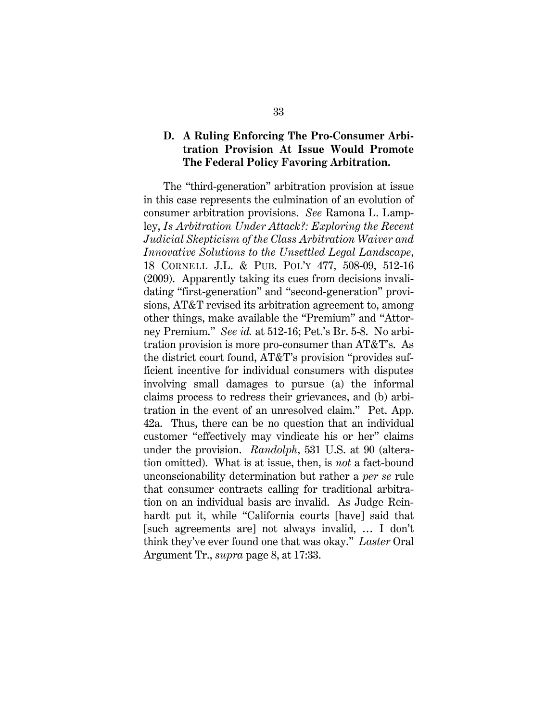### **D. A Ruling Enforcing The Pro-Consumer Arbitration Provision At Issue Would Promote The Federal Policy Favoring Arbitration.**

The "third-generation" arbitration provision at issue in this case represents the culmination of an evolution of consumer arbitration provisions. *See* Ramona L. Lampley, *Is Arbitration Under Attack?: Exploring the Recent Judicial Skepticism of the Class Arbitration Waiver and Innovative Solutions to the Unsettled Legal Landscape*, 18 CORNELL J.L. & PUB. POL'Y 477, 508-09, 512-16 (2009). Apparently taking its cues from decisions invalidating "first-generation" and "second-generation" provisions, AT&T revised its arbitration agreement to, among other things, make available the "Premium" and "Attorney Premium." *See id.* at 512-16; Pet.'s Br. 5-8. No arbitration provision is more pro-consumer than AT&T's. As the district court found, AT&T's provision "provides sufficient incentive for individual consumers with disputes involving small damages to pursue (a) the informal claims process to redress their grievances, and (b) arbitration in the event of an unresolved claim." Pet. App. 42a. Thus, there can be no question that an individual customer "effectively may vindicate his or her" claims under the provision. *Randolph*, 531 U.S. at 90 (alteration omitted). What is at issue, then, is *not* a fact-bound unconscionability determination but rather a *per se* rule that consumer contracts calling for traditional arbitration on an individual basis are invalid. As Judge Reinhardt put it, while "California courts [have] said that [such agreements are] not always invalid, … I don't think they've ever found one that was okay." *Laster* Oral Argument Tr., *supra* page 8, at 17:33.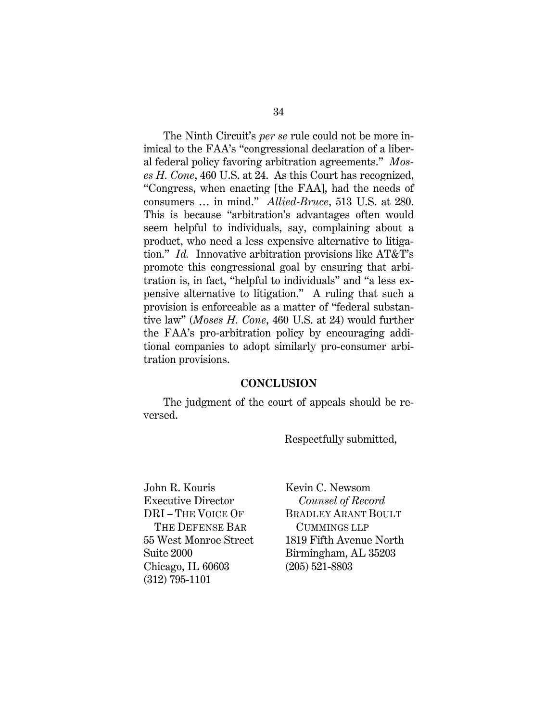The Ninth Circuit's *per se* rule could not be more inimical to the FAA's "congressional declaration of a liberal federal policy favoring arbitration agreements." *Moses H. Cone*, 460 U.S. at 24. As this Court has recognized, "Congress, when enacting [the FAA], had the needs of consumers … in mind." *Allied-Bruce*, 513 U.S. at 280. This is because "arbitration's advantages often would seem helpful to individuals, say, complaining about a product, who need a less expensive alternative to litigation." *Id.* Innovative arbitration provisions like AT&T's promote this congressional goal by ensuring that arbitration is, in fact, "helpful to individuals" and "a less expensive alternative to litigation." A ruling that such a provision is enforceable as a matter of "federal substantive law" (*Moses H. Cone*, 460 U.S. at 24) would further the FAA's pro-arbitration policy by encouraging additional companies to adopt similarly pro-consumer arbitration provisions.

#### **CONCLUSION**

The judgment of the court of appeals should be reversed.

Respectfully submitted,

John R. Kouris Executive Director DRI – THE VOICE OF THE DEFENSE BAR 55 West Monroe Street Suite 2000 Chicago, IL 60603 (312) 795-1101

Kevin C. Newsom  *Counsel of Record*  BRADLEY ARANT BOULT CUMMINGS LLP 1819 Fifth Avenue North Birmingham, AL 35203 (205) 521-8803